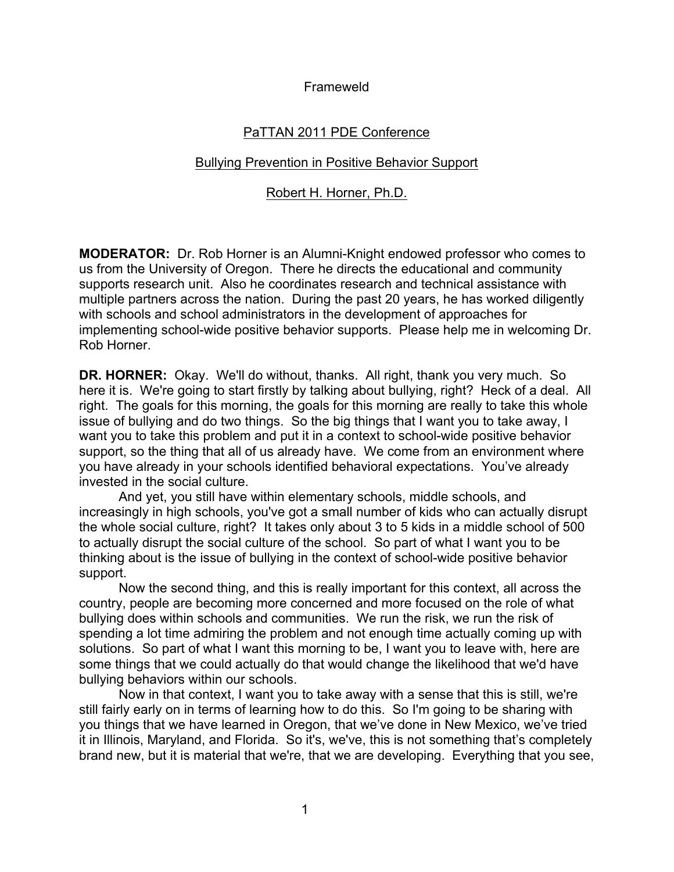Frameweld

# PaTTAN 2011 PDE Conference

## Bullying Prevention in Positive Behavior Support

## Robert H. Horner, Ph.D.

**MODERATOR:** Dr. Rob Horner is an Alumni-Knight endowed professor who comes to us from the University of Oregon. There he directs the educational and community supports research unit. Also he coordinates research and technical assistance with multiple partners across the nation. During the past 20 years, he has worked diligently with schools and school administrators in the development of approaches for implementing school-wide positive behavior supports. Please help me in welcoming Dr. Rob Horner.

**DR. HORNER:** Okay. We'll do without, thanks. All right, thank you very much. So here it is. We're going to start firstly by talking about bullying, right? Heck of a deal. All right. The goals for this morning, the goals for this morning are really to take this whole issue of bullying and do two things. So the big things that I want you to take away, I want you to take this problem and put it in a context to school-wide positive behavior support, so the thing that all of us already have. We come from an environment where you have already in your schools identified behavioral expectations. You've already invested in the social culture.

And yet, you still have within elementary schools, middle schools, and increasingly in high schools, you've got a small number of kids who can actually disrupt the whole social culture, right? It takes only about 3 to 5 kids in a middle school of 500 to actually disrupt the social culture of the school. So part of what I want you to be thinking about is the issue of bullying in the context of school-wide positive behavior support.

Now the second thing, and this is really important for this context, all across the country, people are becoming more concerned and more focused on the role of what bullying does within schools and communities. We run the risk, we run the risk of spending a lot time admiring the problem and not enough time actually coming up with solutions. So part of what I want this morning to be, I want you to leave with, here are some things that we could actually do that would change the likelihood that we'd have bullying behaviors within our schools.

Now in that context, I want you to take away with a sense that this is still, we're still fairly early on in terms of learning how to do this. So I'm going to be sharing with you things that we have learned in Oregon, that we've done in New Mexico, we've tried it in Illinois, Maryland, and Florida. So it's, we've, this is not something that's completely brand new, but it is material that we're, that we are developing. Everything that you see,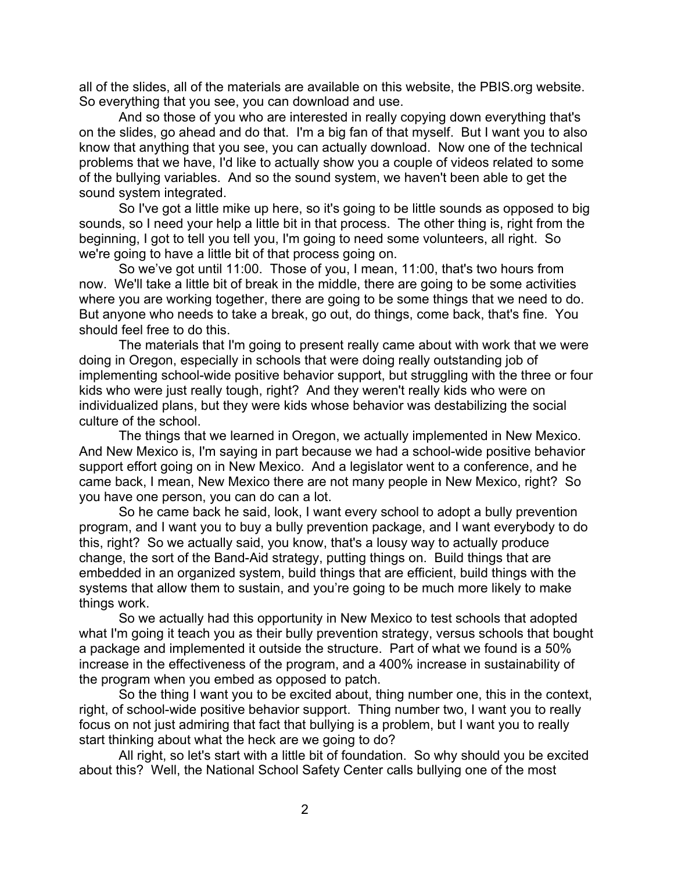all of the slides, all of the materials are available on this website, the PBIS.org website. So everything that you see, you can download and use.

And so those of you who are interested in really copying down everything that's on the slides, go ahead and do that. I'm a big fan of that myself. But I want you to also know that anything that you see, you can actually download. Now one of the technical problems that we have, I'd like to actually show you a couple of videos related to some of the bullying variables. And so the sound system, we haven't been able to get the sound system integrated.

So I've got a little mike up here, so it's going to be little sounds as opposed to big sounds, so I need your help a little bit in that process. The other thing is, right from the beginning, I got to tell you tell you, I'm going to need some volunteers, all right. So we're going to have a little bit of that process going on.

So we've got until 11:00. Those of you, I mean, 11:00, that's two hours from now. We'll take a little bit of break in the middle, there are going to be some activities where you are working together, there are going to be some things that we need to do. But anyone who needs to take a break, go out, do things, come back, that's fine. You should feel free to do this.

The materials that I'm going to present really came about with work that we were doing in Oregon, especially in schools that were doing really outstanding job of implementing school-wide positive behavior support, but struggling with the three or four kids who were just really tough, right? And they weren't really kids who were on individualized plans, but they were kids whose behavior was destabilizing the social culture of the school.

The things that we learned in Oregon, we actually implemented in New Mexico. And New Mexico is, I'm saying in part because we had a school-wide positive behavior support effort going on in New Mexico. And a legislator went to a conference, and he came back, I mean, New Mexico there are not many people in New Mexico, right? So you have one person, you can do can a lot.

So he came back he said, look, I want every school to adopt a bully prevention program, and I want you to buy a bully prevention package, and I want everybody to do this, right? So we actually said, you know, that's a lousy way to actually produce change, the sort of the Band-Aid strategy, putting things on. Build things that are embedded in an organized system, build things that are efficient, build things with the systems that allow them to sustain, and you're going to be much more likely to make things work.

So we actually had this opportunity in New Mexico to test schools that adopted what I'm going it teach you as their bully prevention strategy, versus schools that bought a package and implemented it outside the structure. Part of what we found is a 50% increase in the effectiveness of the program, and a 400% increase in sustainability of the program when you embed as opposed to patch.

So the thing I want you to be excited about, thing number one, this in the context, right, of school-wide positive behavior support. Thing number two, I want you to really focus on not just admiring that fact that bullying is a problem, but I want you to really start thinking about what the heck are we going to do?

All right, so let's start with a little bit of foundation. So why should you be excited about this? Well, the National School Safety Center calls bullying one of the most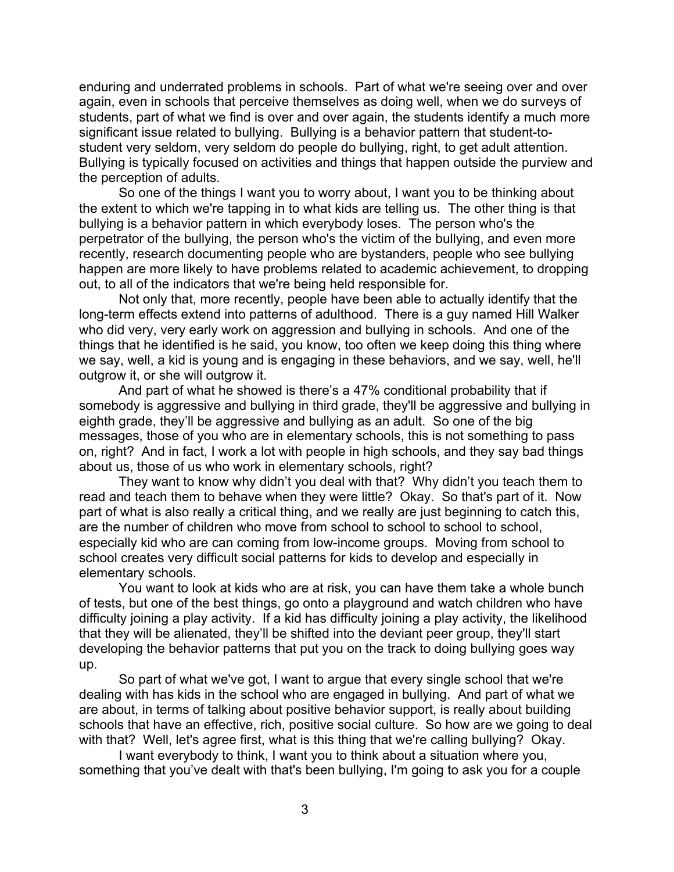enduring and underrated problems in schools. Part of what we're seeing over and over again, even in schools that perceive themselves as doing well, when we do surveys of students, part of what we find is over and over again, the students identify a much more significant issue related to bullying. Bullying is a behavior pattern that student-tostudent very seldom, very seldom do people do bullying, right, to get adult attention. Bullying is typically focused on activities and things that happen outside the purview and the perception of adults.

So one of the things I want you to worry about, I want you to be thinking about the extent to which we're tapping in to what kids are telling us. The other thing is that bullying is a behavior pattern in which everybody loses. The person who's the perpetrator of the bullying, the person who's the victim of the bullying, and even more recently, research documenting people who are bystanders, people who see bullying happen are more likely to have problems related to academic achievement, to dropping out, to all of the indicators that we're being held responsible for.

Not only that, more recently, people have been able to actually identify that the long-term effects extend into patterns of adulthood. There is a guy named Hill Walker who did very, very early work on aggression and bullying in schools. And one of the things that he identified is he said, you know, too often we keep doing this thing where we say, well, a kid is young and is engaging in these behaviors, and we say, well, he'll outgrow it, or she will outgrow it.

And part of what he showed is there's a 47% conditional probability that if somebody is aggressive and bullying in third grade, they'll be aggressive and bullying in eighth grade, they'll be aggressive and bullying as an adult. So one of the big messages, those of you who are in elementary schools, this is not something to pass on, right? And in fact, I work a lot with people in high schools, and they say bad things about us, those of us who work in elementary schools, right?

They want to know why didn't you deal with that? Why didn't you teach them to read and teach them to behave when they were little? Okay. So that's part of it. Now part of what is also really a critical thing, and we really are just beginning to catch this, are the number of children who move from school to school to school to school, especially kid who are can coming from low-income groups. Moving from school to school creates very difficult social patterns for kids to develop and especially in elementary schools.

You want to look at kids who are at risk, you can have them take a whole bunch of tests, but one of the best things, go onto a playground and watch children who have difficulty joining a play activity. If a kid has difficulty joining a play activity, the likelihood that they will be alienated, they'll be shifted into the deviant peer group, they'll start developing the behavior patterns that put you on the track to doing bullying goes way up.

So part of what we've got, I want to argue that every single school that we're dealing with has kids in the school who are engaged in bullying. And part of what we are about, in terms of talking about positive behavior support, is really about building schools that have an effective, rich, positive social culture. So how are we going to deal with that? Well, let's agree first, what is this thing that we're calling bullying? Okay.

I want everybody to think, I want you to think about a situation where you, something that you've dealt with that's been bullying, I'm going to ask you for a couple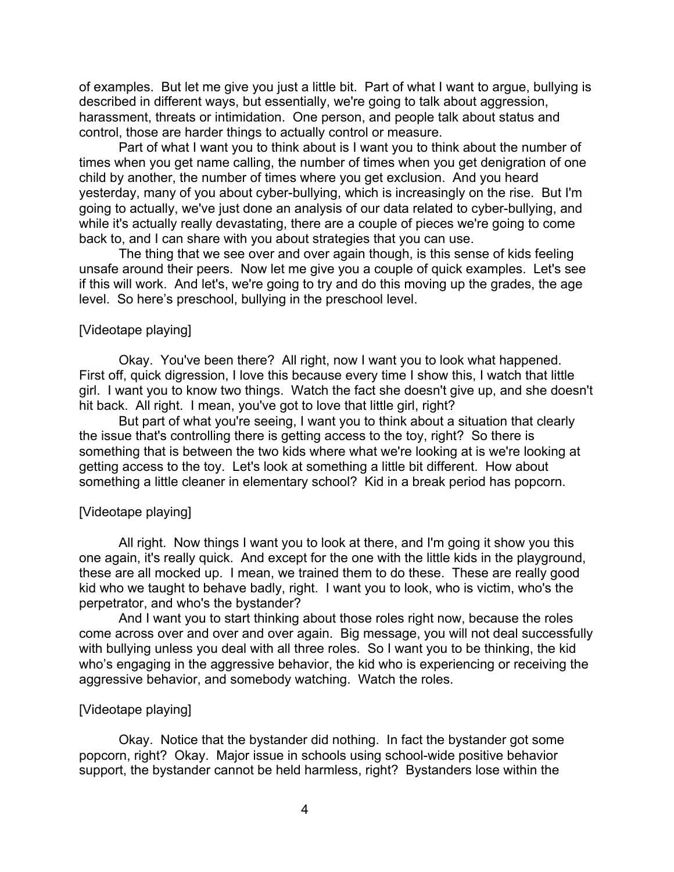of examples. But let me give you just a little bit. Part of what I want to argue, bullying is described in different ways, but essentially, we're going to talk about aggression, harassment, threats or intimidation. One person, and people talk about status and control, those are harder things to actually control or measure.

Part of what I want you to think about is I want you to think about the number of times when you get name calling, the number of times when you get denigration of one child by another, the number of times where you get exclusion. And you heard yesterday, many of you about cyber-bullying, which is increasingly on the rise. But I'm going to actually, we've just done an analysis of our data related to cyber-bullying, and while it's actually really devastating, there are a couple of pieces we're going to come back to, and I can share with you about strategies that you can use.

The thing that we see over and over again though, is this sense of kids feeling unsafe around their peers. Now let me give you a couple of quick examples. Let's see if this will work. And let's, we're going to try and do this moving up the grades, the age level. So here's preschool, bullying in the preschool level.

### [Videotape playing]

Okay. You've been there? All right, now I want you to look what happened. First off, quick digression, I love this because every time I show this, I watch that little girl. I want you to know two things. Watch the fact she doesn't give up, and she doesn't hit back. All right. I mean, you've got to love that little girl, right?

But part of what you're seeing, I want you to think about a situation that clearly the issue that's controlling there is getting access to the toy, right? So there is something that is between the two kids where what we're looking at is we're looking at getting access to the toy. Let's look at something a little bit different. How about something a little cleaner in elementary school? Kid in a break period has popcorn.

## [Videotape playing]

All right. Now things I want you to look at there, and I'm going it show you this one again, it's really quick. And except for the one with the little kids in the playground, these are all mocked up. I mean, we trained them to do these. These are really good kid who we taught to behave badly, right. I want you to look, who is victim, who's the perpetrator, and who's the bystander?

And I want you to start thinking about those roles right now, because the roles come across over and over and over again. Big message, you will not deal successfully with bullying unless you deal with all three roles. So I want you to be thinking, the kid who's engaging in the aggressive behavior, the kid who is experiencing or receiving the aggressive behavior, and somebody watching. Watch the roles.

#### [Videotape playing]

Okay. Notice that the bystander did nothing. In fact the bystander got some popcorn, right? Okay. Major issue in schools using school-wide positive behavior support, the bystander cannot be held harmless, right? Bystanders lose within the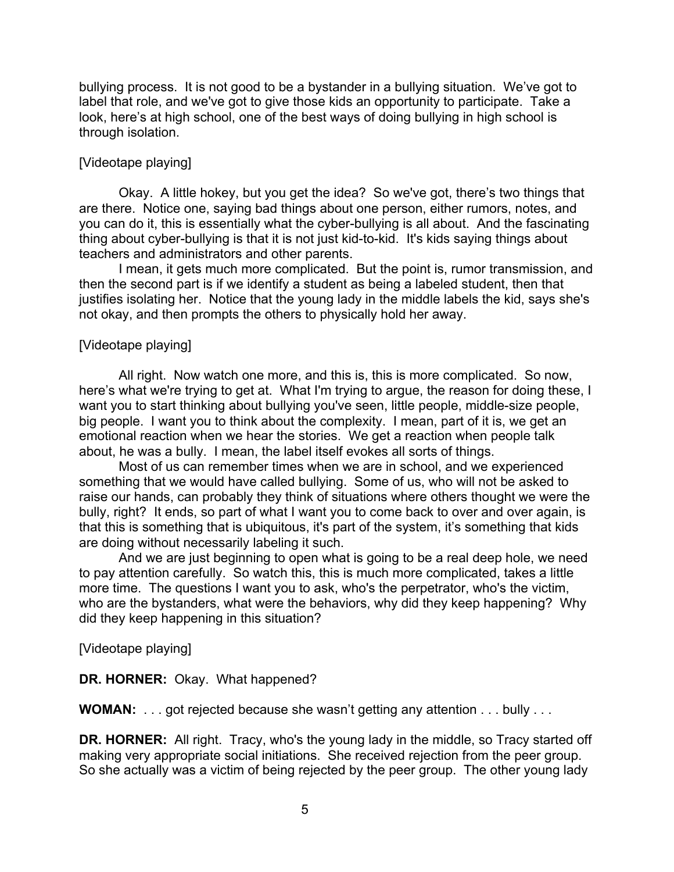bullying process. It is not good to be a bystander in a bullying situation. We've got to label that role, and we've got to give those kids an opportunity to participate. Take a look, here's at high school, one of the best ways of doing bullying in high school is through isolation.

## [Videotape playing]

Okay. A little hokey, but you get the idea? So we've got, there's two things that are there. Notice one, saying bad things about one person, either rumors, notes, and you can do it, this is essentially what the cyber-bullying is all about. And the fascinating thing about cyber-bullying is that it is not just kid-to-kid. It's kids saying things about teachers and administrators and other parents.

I mean, it gets much more complicated. But the point is, rumor transmission, and then the second part is if we identify a student as being a labeled student, then that justifies isolating her. Notice that the young lady in the middle labels the kid, says she's not okay, and then prompts the others to physically hold her away.

## [Videotape playing]

All right. Now watch one more, and this is, this is more complicated. So now, here's what we're trying to get at. What I'm trying to argue, the reason for doing these, I want you to start thinking about bullying you've seen, little people, middle-size people, big people. I want you to think about the complexity. I mean, part of it is, we get an emotional reaction when we hear the stories. We get a reaction when people talk about, he was a bully. I mean, the label itself evokes all sorts of things.

Most of us can remember times when we are in school, and we experienced something that we would have called bullying. Some of us, who will not be asked to raise our hands, can probably they think of situations where others thought we were the bully, right? It ends, so part of what I want you to come back to over and over again, is that this is something that is ubiquitous, it's part of the system, it's something that kids are doing without necessarily labeling it such.

And we are just beginning to open what is going to be a real deep hole, we need to pay attention carefully. So watch this, this is much more complicated, takes a little more time. The questions I want you to ask, who's the perpetrator, who's the victim, who are the bystanders, what were the behaviors, why did they keep happening? Why did they keep happening in this situation?

[Videotape playing]

## **DR. HORNER:** Okay. What happened?

**WOMAN:** . . . got rejected because she wasn't getting any attention . . . bully . . .

**DR. HORNER:** All right. Tracy, who's the young lady in the middle, so Tracy started off making very appropriate social initiations. She received rejection from the peer group. So she actually was a victim of being rejected by the peer group. The other young lady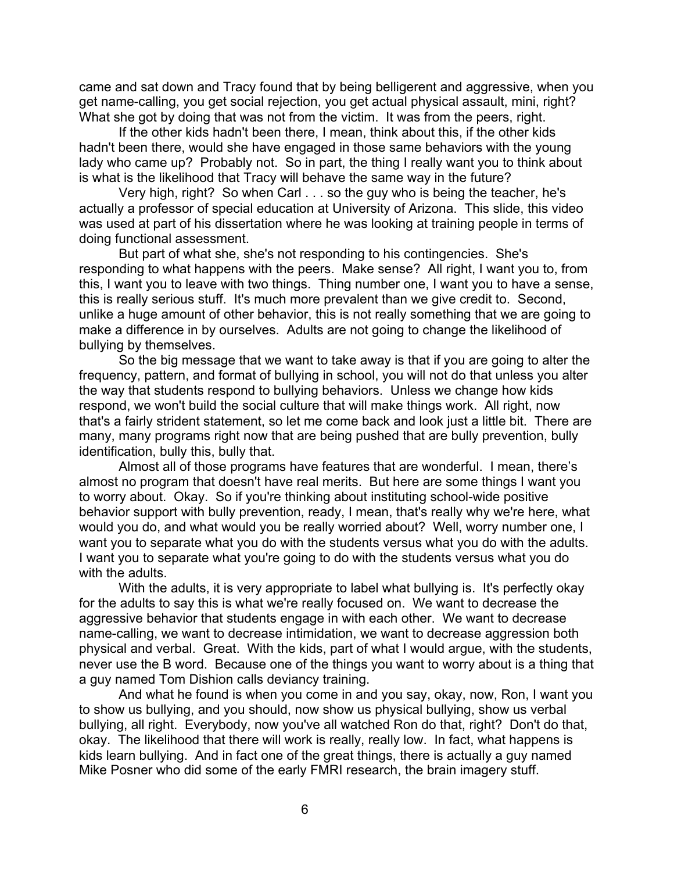came and sat down and Tracy found that by being belligerent and aggressive, when you get name-calling, you get social rejection, you get actual physical assault, mini, right? What she got by doing that was not from the victim. It was from the peers, right.

If the other kids hadn't been there, I mean, think about this, if the other kids hadn't been there, would she have engaged in those same behaviors with the young lady who came up? Probably not. So in part, the thing I really want you to think about is what is the likelihood that Tracy will behave the same way in the future?

Very high, right? So when Carl . . . so the guy who is being the teacher, he's actually a professor of special education at University of Arizona. This slide, this video was used at part of his dissertation where he was looking at training people in terms of doing functional assessment.

But part of what she, she's not responding to his contingencies. She's responding to what happens with the peers. Make sense? All right, I want you to, from this, I want you to leave with two things. Thing number one, I want you to have a sense, this is really serious stuff. It's much more prevalent than we give credit to. Second, unlike a huge amount of other behavior, this is not really something that we are going to make a difference in by ourselves. Adults are not going to change the likelihood of bullying by themselves.

So the big message that we want to take away is that if you are going to alter the frequency, pattern, and format of bullying in school, you will not do that unless you alter the way that students respond to bullying behaviors. Unless we change how kids respond, we won't build the social culture that will make things work. All right, now that's a fairly strident statement, so let me come back and look just a little bit. There are many, many programs right now that are being pushed that are bully prevention, bully identification, bully this, bully that.

Almost all of those programs have features that are wonderful. I mean, there's almost no program that doesn't have real merits. But here are some things I want you to worry about. Okay. So if you're thinking about instituting school-wide positive behavior support with bully prevention, ready, I mean, that's really why we're here, what would you do, and what would you be really worried about? Well, worry number one, I want you to separate what you do with the students versus what you do with the adults. I want you to separate what you're going to do with the students versus what you do with the adults.

With the adults, it is very appropriate to label what bullying is. It's perfectly okay for the adults to say this is what we're really focused on. We want to decrease the aggressive behavior that students engage in with each other. We want to decrease name-calling, we want to decrease intimidation, we want to decrease aggression both physical and verbal. Great. With the kids, part of what I would argue, with the students, never use the B word. Because one of the things you want to worry about is a thing that a guy named Tom Dishion calls deviancy training.

And what he found is when you come in and you say, okay, now, Ron, I want you to show us bullying, and you should, now show us physical bullying, show us verbal bullying, all right. Everybody, now you've all watched Ron do that, right? Don't do that, okay. The likelihood that there will work is really, really low. In fact, what happens is kids learn bullying. And in fact one of the great things, there is actually a guy named Mike Posner who did some of the early FMRI research, the brain imagery stuff.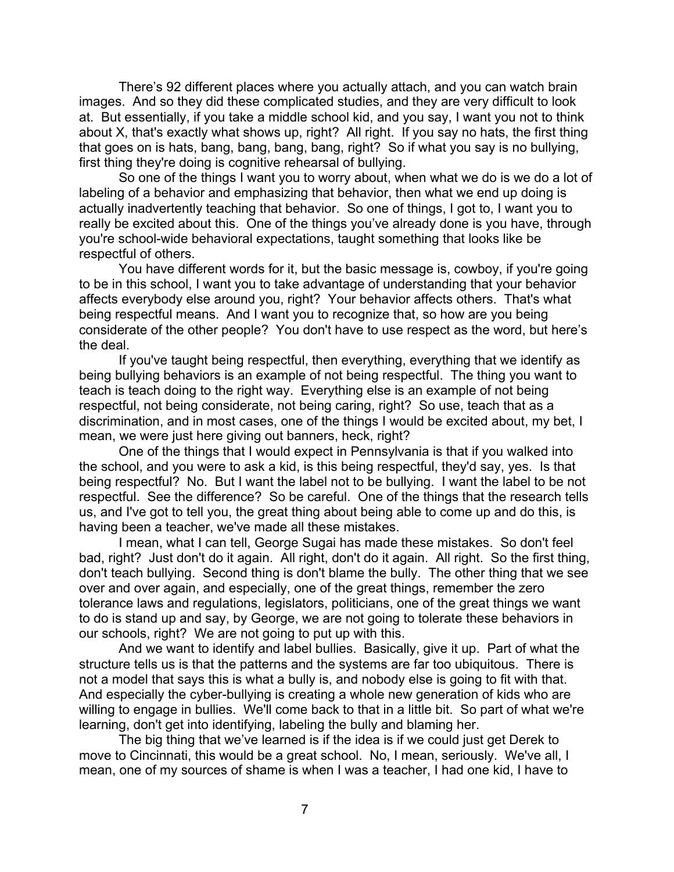There's 92 different places where you actually attach, and you can watch brain images. And so they did these complicated studies, and they are very difficult to look at. But essentially, if you take a middle school kid, and you say, I want you not to think about X, that's exactly what shows up, right? All right. If you say no hats, the first thing that goes on is hats, bang, bang, bang, bang, right? So if what you say is no bullying, first thing they're doing is cognitive rehearsal of bullying.

So one of the things I want you to worry about, when what we do is we do a lot of labeling of a behavior and emphasizing that behavior, then what we end up doing is actually inadvertently teaching that behavior. So one of things, I got to, I want you to really be excited about this. One of the things you've already done is you have, through you're school-wide behavioral expectations, taught something that looks like be respectful of others.

You have different words for it, but the basic message is, cowboy, if you're going to be in this school, I want you to take advantage of understanding that your behavior affects everybody else around you, right? Your behavior affects others. That's what being respectful means. And I want you to recognize that, so how are you being considerate of the other people? You don't have to use respect as the word, but here's the deal.

If you've taught being respectful, then everything, everything that we identify as being bullying behaviors is an example of not being respectful. The thing you want to teach is teach doing to the right way. Everything else is an example of not being respectful, not being considerate, not being caring, right? So use, teach that as a discrimination, and in most cases, one of the things I would be excited about, my bet, I mean, we were just here giving out banners, heck, right?

One of the things that I would expect in Pennsylvania is that if you walked into the school, and you were to ask a kid, is this being respectful, they'd say, yes. Is that being respectful? No. But I want the label not to be bullying. I want the label to be not respectful. See the difference? So be careful. One of the things that the research tells us, and I've got to tell you, the great thing about being able to come up and do this, is having been a teacher, we've made all these mistakes.

I mean, what I can tell, George Sugai has made these mistakes. So don't feel bad, right? Just don't do it again. All right, don't do it again. All right. So the first thing, don't teach bullying. Second thing is don't blame the bully. The other thing that we see over and over again, and especially, one of the great things, remember the zero tolerance laws and regulations, legislators, politicians, one of the great things we want to do is stand up and say, by George, we are not going to tolerate these behaviors in our schools, right? We are not going to put up with this.

And we want to identify and label bullies. Basically, give it up. Part of what the structure tells us is that the patterns and the systems are far too ubiquitous. There is not a model that says this is what a bully is, and nobody else is going to fit with that. And especially the cyber-bullying is creating a whole new generation of kids who are willing to engage in bullies. We'll come back to that in a little bit. So part of what we're learning, don't get into identifying, labeling the bully and blaming her.

The big thing that we've learned is if the idea is if we could just get Derek to move to Cincinnati, this would be a great school. No, I mean, seriously. We've all, I mean, one of my sources of shame is when I was a teacher, I had one kid, I have to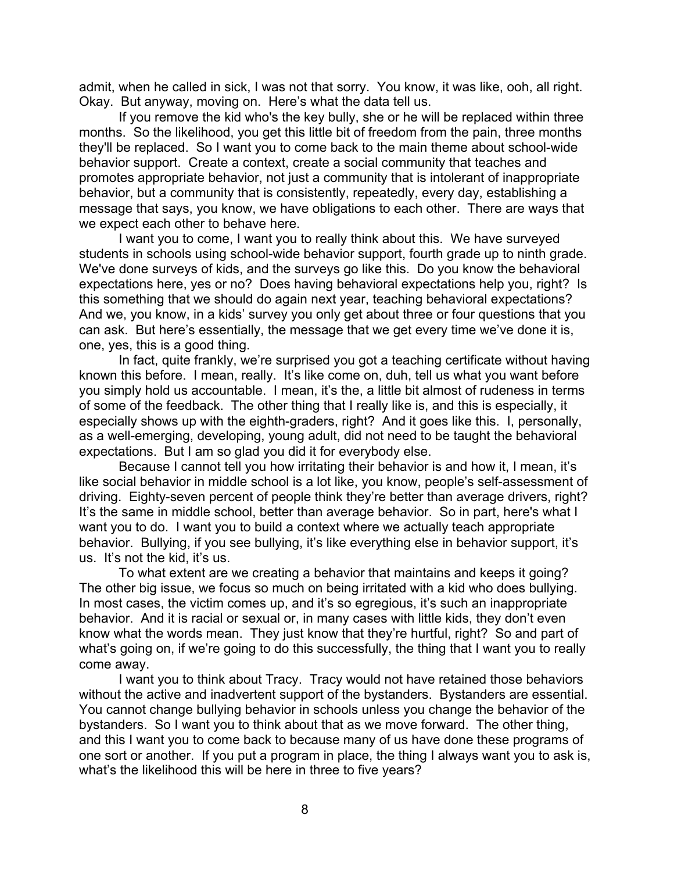admit, when he called in sick, I was not that sorry. You know, it was like, ooh, all right. Okay. But anyway, moving on. Here's what the data tell us.

If you remove the kid who's the key bully, she or he will be replaced within three months. So the likelihood, you get this little bit of freedom from the pain, three months they'll be replaced. So I want you to come back to the main theme about school-wide behavior support. Create a context, create a social community that teaches and promotes appropriate behavior, not just a community that is intolerant of inappropriate behavior, but a community that is consistently, repeatedly, every day, establishing a message that says, you know, we have obligations to each other. There are ways that we expect each other to behave here.

I want you to come, I want you to really think about this. We have surveyed students in schools using school-wide behavior support, fourth grade up to ninth grade. We've done surveys of kids, and the surveys go like this. Do you know the behavioral expectations here, yes or no? Does having behavioral expectations help you, right? Is this something that we should do again next year, teaching behavioral expectations? And we, you know, in a kids' survey you only get about three or four questions that you can ask. But here's essentially, the message that we get every time we've done it is, one, yes, this is a good thing.

In fact, quite frankly, we're surprised you got a teaching certificate without having known this before. I mean, really. It's like come on, duh, tell us what you want before you simply hold us accountable. I mean, it's the, a little bit almost of rudeness in terms of some of the feedback. The other thing that I really like is, and this is especially, it especially shows up with the eighth-graders, right? And it goes like this. I, personally, as a well-emerging, developing, young adult, did not need to be taught the behavioral expectations. But I am so glad you did it for everybody else.

Because I cannot tell you how irritating their behavior is and how it, I mean, it's like social behavior in middle school is a lot like, you know, people's self-assessment of driving. Eighty-seven percent of people think they're better than average drivers, right? It's the same in middle school, better than average behavior. So in part, here's what I want you to do. I want you to build a context where we actually teach appropriate behavior. Bullying, if you see bullying, it's like everything else in behavior support, it's us. It's not the kid, it's us.

To what extent are we creating a behavior that maintains and keeps it going? The other big issue, we focus so much on being irritated with a kid who does bullying. In most cases, the victim comes up, and it's so egregious, it's such an inappropriate behavior. And it is racial or sexual or, in many cases with little kids, they don't even know what the words mean. They just know that they're hurtful, right? So and part of what's going on, if we're going to do this successfully, the thing that I want you to really come away.

I want you to think about Tracy. Tracy would not have retained those behaviors without the active and inadvertent support of the bystanders. Bystanders are essential. You cannot change bullying behavior in schools unless you change the behavior of the bystanders. So I want you to think about that as we move forward. The other thing, and this I want you to come back to because many of us have done these programs of one sort or another. If you put a program in place, the thing I always want you to ask is, what's the likelihood this will be here in three to five years?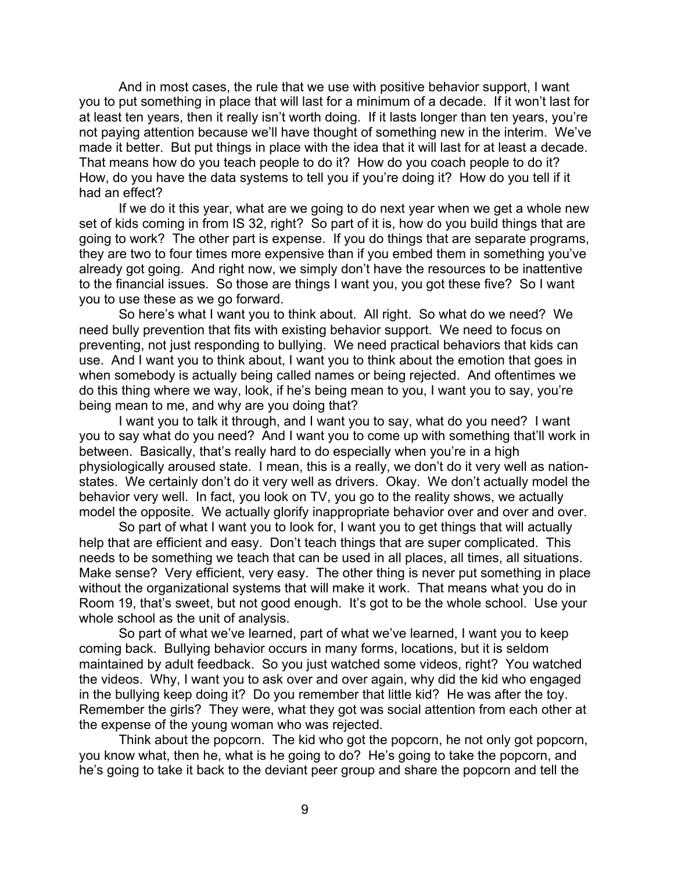And in most cases, the rule that we use with positive behavior support, I want you to put something in place that will last for a minimum of a decade. If it won't last for at least ten years, then it really isn't worth doing. If it lasts longer than ten years, you're not paying attention because we'll have thought of something new in the interim. We've made it better. But put things in place with the idea that it will last for at least a decade. That means how do you teach people to do it? How do you coach people to do it? How, do you have the data systems to tell you if you're doing it? How do you tell if it had an effect?

If we do it this year, what are we going to do next year when we get a whole new set of kids coming in from IS 32, right? So part of it is, how do you build things that are going to work? The other part is expense. If you do things that are separate programs, they are two to four times more expensive than if you embed them in something you've already got going. And right now, we simply don't have the resources to be inattentive to the financial issues. So those are things I want you, you got these five? So I want you to use these as we go forward.

So here's what I want you to think about. All right. So what do we need? We need bully prevention that fits with existing behavior support. We need to focus on preventing, not just responding to bullying. We need practical behaviors that kids can use. And I want you to think about, I want you to think about the emotion that goes in when somebody is actually being called names or being rejected. And oftentimes we do this thing where we way, look, if he's being mean to you, I want you to say, you're being mean to me, and why are you doing that?

I want you to talk it through, and I want you to say, what do you need? I want you to say what do you need? And I want you to come up with something that'll work in between. Basically, that's really hard to do especially when you're in a high physiologically aroused state. I mean, this is a really, we don't do it very well as nationstates. We certainly don't do it very well as drivers. Okay. We don't actually model the behavior very well. In fact, you look on TV, you go to the reality shows, we actually model the opposite. We actually glorify inappropriate behavior over and over and over.

So part of what I want you to look for, I want you to get things that will actually help that are efficient and easy. Don't teach things that are super complicated. This needs to be something we teach that can be used in all places, all times, all situations. Make sense? Very efficient, very easy. The other thing is never put something in place without the organizational systems that will make it work. That means what you do in Room 19, that's sweet, but not good enough. It's got to be the whole school. Use your whole school as the unit of analysis.

So part of what we've learned, part of what we've learned, I want you to keep coming back. Bullying behavior occurs in many forms, locations, but it is seldom maintained by adult feedback. So you just watched some videos, right? You watched the videos. Why, I want you to ask over and over again, why did the kid who engaged in the bullying keep doing it? Do you remember that little kid? He was after the toy. Remember the girls? They were, what they got was social attention from each other at the expense of the young woman who was rejected.

Think about the popcorn. The kid who got the popcorn, he not only got popcorn, you know what, then he, what is he going to do? He's going to take the popcorn, and he's going to take it back to the deviant peer group and share the popcorn and tell the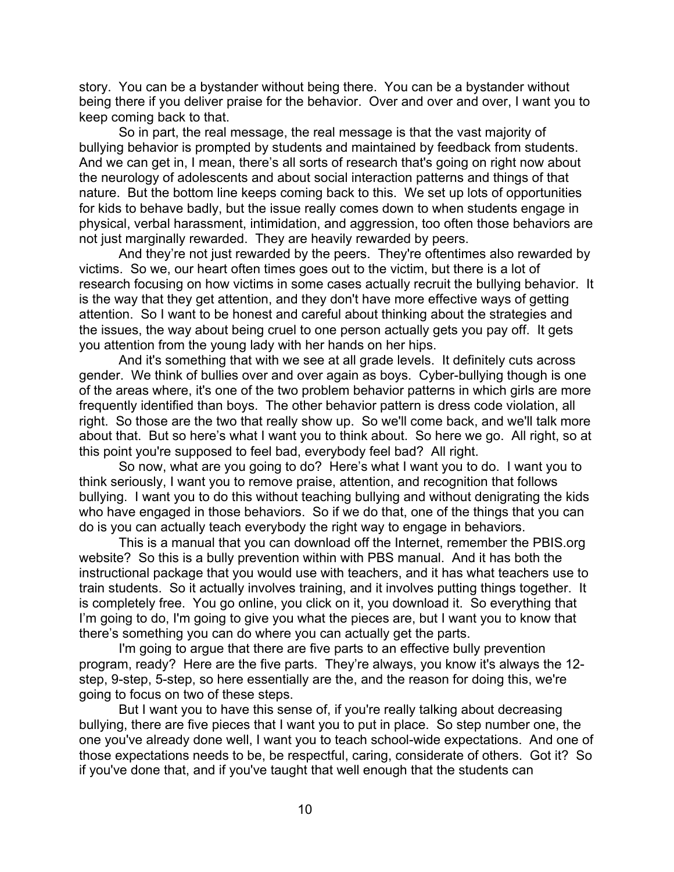story. You can be a bystander without being there. You can be a bystander without being there if you deliver praise for the behavior. Over and over and over, I want you to keep coming back to that.

So in part, the real message, the real message is that the vast majority of bullying behavior is prompted by students and maintained by feedback from students. And we can get in, I mean, there's all sorts of research that's going on right now about the neurology of adolescents and about social interaction patterns and things of that nature. But the bottom line keeps coming back to this. We set up lots of opportunities for kids to behave badly, but the issue really comes down to when students engage in physical, verbal harassment, intimidation, and aggression, too often those behaviors are not just marginally rewarded. They are heavily rewarded by peers.

And they're not just rewarded by the peers. They're oftentimes also rewarded by victims. So we, our heart often times goes out to the victim, but there is a lot of research focusing on how victims in some cases actually recruit the bullying behavior. It is the way that they get attention, and they don't have more effective ways of getting attention. So I want to be honest and careful about thinking about the strategies and the issues, the way about being cruel to one person actually gets you pay off. It gets you attention from the young lady with her hands on her hips.

And it's something that with we see at all grade levels. It definitely cuts across gender. We think of bullies over and over again as boys. Cyber-bullying though is one of the areas where, it's one of the two problem behavior patterns in which girls are more frequently identified than boys. The other behavior pattern is dress code violation, all right. So those are the two that really show up. So we'll come back, and we'll talk more about that. But so here's what I want you to think about. So here we go. All right, so at this point you're supposed to feel bad, everybody feel bad? All right.

So now, what are you going to do? Here's what I want you to do. I want you to think seriously, I want you to remove praise, attention, and recognition that follows bullying. I want you to do this without teaching bullying and without denigrating the kids who have engaged in those behaviors. So if we do that, one of the things that you can do is you can actually teach everybody the right way to engage in behaviors.

This is a manual that you can download off the Internet, remember the PBIS.org website? So this is a bully prevention within with PBS manual. And it has both the instructional package that you would use with teachers, and it has what teachers use to train students. So it actually involves training, and it involves putting things together. It is completely free. You go online, you click on it, you download it. So everything that I'm going to do, I'm going to give you what the pieces are, but I want you to know that there's something you can do where you can actually get the parts.

I'm going to argue that there are five parts to an effective bully prevention program, ready? Here are the five parts. They're always, you know it's always the 12 step, 9-step, 5-step, so here essentially are the, and the reason for doing this, we're going to focus on two of these steps.

But I want you to have this sense of, if you're really talking about decreasing bullying, there are five pieces that I want you to put in place. So step number one, the one you've already done well, I want you to teach school-wide expectations. And one of those expectations needs to be, be respectful, caring, considerate of others. Got it? So if you've done that, and if you've taught that well enough that the students can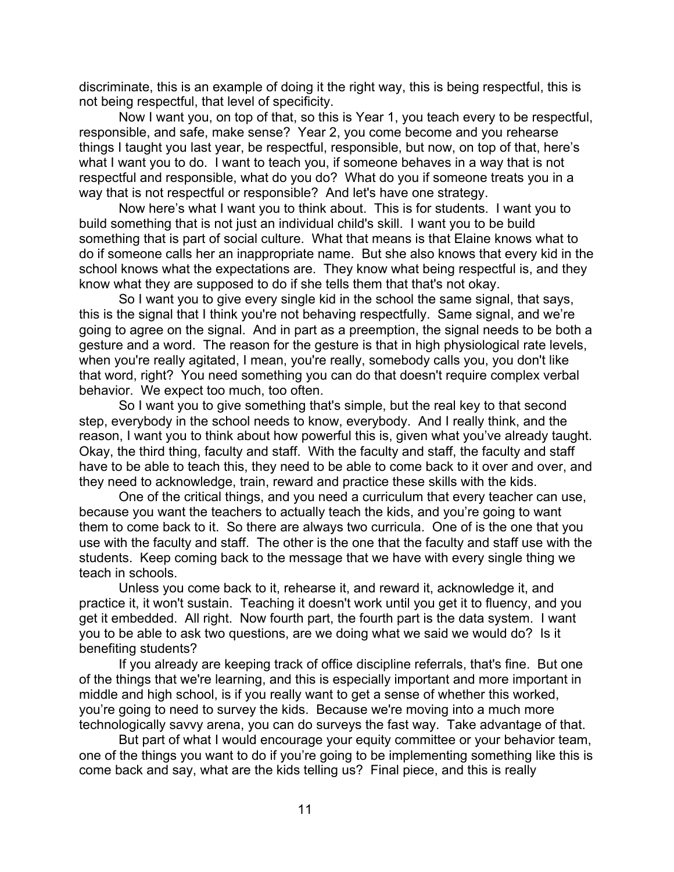discriminate, this is an example of doing it the right way, this is being respectful, this is not being respectful, that level of specificity.

Now I want you, on top of that, so this is Year 1, you teach every to be respectful, responsible, and safe, make sense? Year 2, you come become and you rehearse things I taught you last year, be respectful, responsible, but now, on top of that, here's what I want you to do. I want to teach you, if someone behaves in a way that is not respectful and responsible, what do you do? What do you if someone treats you in a way that is not respectful or responsible? And let's have one strategy.

Now here's what I want you to think about. This is for students. I want you to build something that is not just an individual child's skill. I want you to be build something that is part of social culture. What that means is that Elaine knows what to do if someone calls her an inappropriate name. But she also knows that every kid in the school knows what the expectations are. They know what being respectful is, and they know what they are supposed to do if she tells them that that's not okay.

So I want you to give every single kid in the school the same signal, that says, this is the signal that I think you're not behaving respectfully. Same signal, and we're going to agree on the signal. And in part as a preemption, the signal needs to be both a gesture and a word. The reason for the gesture is that in high physiological rate levels, when you're really agitated, I mean, you're really, somebody calls you, you don't like that word, right? You need something you can do that doesn't require complex verbal behavior. We expect too much, too often.

So I want you to give something that's simple, but the real key to that second step, everybody in the school needs to know, everybody. And I really think, and the reason, I want you to think about how powerful this is, given what you've already taught. Okay, the third thing, faculty and staff. With the faculty and staff, the faculty and staff have to be able to teach this, they need to be able to come back to it over and over, and they need to acknowledge, train, reward and practice these skills with the kids.

One of the critical things, and you need a curriculum that every teacher can use, because you want the teachers to actually teach the kids, and you're going to want them to come back to it. So there are always two curricula. One of is the one that you use with the faculty and staff. The other is the one that the faculty and staff use with the students. Keep coming back to the message that we have with every single thing we teach in schools.

Unless you come back to it, rehearse it, and reward it, acknowledge it, and practice it, it won't sustain. Teaching it doesn't work until you get it to fluency, and you get it embedded. All right. Now fourth part, the fourth part is the data system. I want you to be able to ask two questions, are we doing what we said we would do? Is it benefiting students?

If you already are keeping track of office discipline referrals, that's fine. But one of the things that we're learning, and this is especially important and more important in middle and high school, is if you really want to get a sense of whether this worked, you're going to need to survey the kids. Because we're moving into a much more technologically savvy arena, you can do surveys the fast way. Take advantage of that.

But part of what I would encourage your equity committee or your behavior team, one of the things you want to do if you're going to be implementing something like this is come back and say, what are the kids telling us? Final piece, and this is really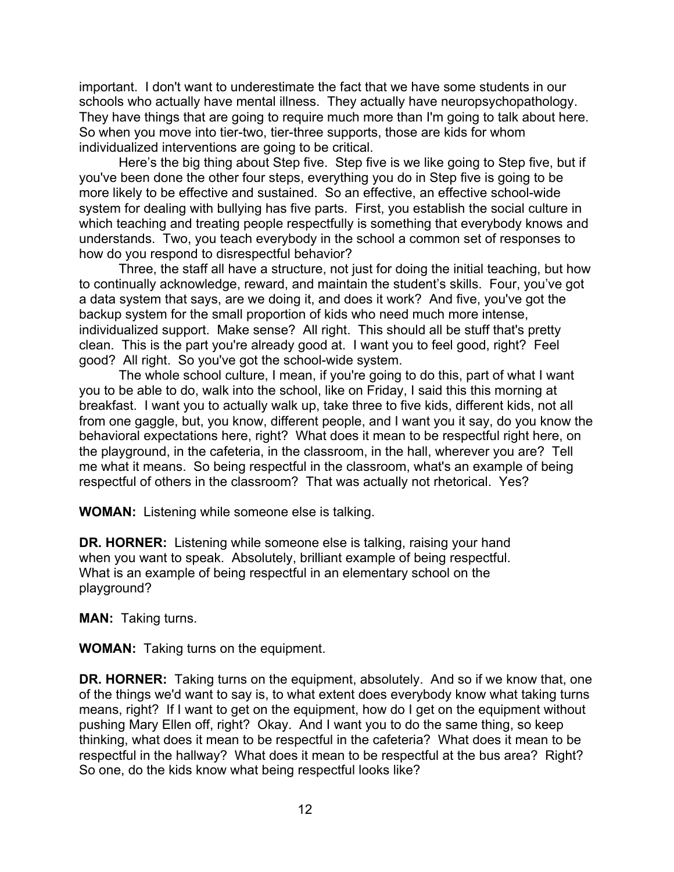important. I don't want to underestimate the fact that we have some students in our schools who actually have mental illness. They actually have neuropsychopathology. They have things that are going to require much more than I'm going to talk about here. So when you move into tier-two, tier-three supports, those are kids for whom individualized interventions are going to be critical.

Here's the big thing about Step five. Step five is we like going to Step five, but if you've been done the other four steps, everything you do in Step five is going to be more likely to be effective and sustained. So an effective, an effective school-wide system for dealing with bullying has five parts. First, you establish the social culture in which teaching and treating people respectfully is something that everybody knows and understands. Two, you teach everybody in the school a common set of responses to how do you respond to disrespectful behavior?

Three, the staff all have a structure, not just for doing the initial teaching, but how to continually acknowledge, reward, and maintain the student's skills. Four, you've got a data system that says, are we doing it, and does it work? And five, you've got the backup system for the small proportion of kids who need much more intense, individualized support. Make sense? All right. This should all be stuff that's pretty clean. This is the part you're already good at. I want you to feel good, right? Feel good? All right. So you've got the school-wide system.

The whole school culture, I mean, if you're going to do this, part of what I want you to be able to do, walk into the school, like on Friday, I said this this morning at breakfast. I want you to actually walk up, take three to five kids, different kids, not all from one gaggle, but, you know, different people, and I want you it say, do you know the behavioral expectations here, right? What does it mean to be respectful right here, on the playground, in the cafeteria, in the classroom, in the hall, wherever you are? Tell me what it means. So being respectful in the classroom, what's an example of being respectful of others in the classroom? That was actually not rhetorical. Yes?

**WOMAN:** Listening while someone else is talking.

**DR. HORNER:** Listening while someone else is talking, raising your hand when you want to speak. Absolutely, brilliant example of being respectful. What is an example of being respectful in an elementary school on the playground?

**MAN:** Taking turns.

**WOMAN:** Taking turns on the equipment.

**DR. HORNER:** Taking turns on the equipment, absolutely. And so if we know that, one of the things we'd want to say is, to what extent does everybody know what taking turns means, right? If I want to get on the equipment, how do I get on the equipment without pushing Mary Ellen off, right? Okay. And I want you to do the same thing, so keep thinking, what does it mean to be respectful in the cafeteria? What does it mean to be respectful in the hallway? What does it mean to be respectful at the bus area? Right? So one, do the kids know what being respectful looks like?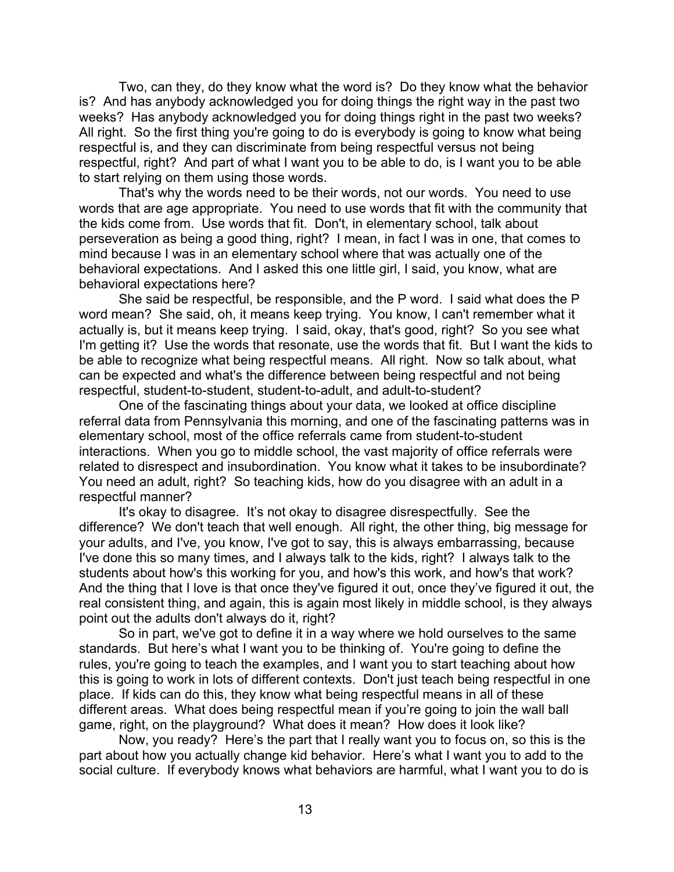Two, can they, do they know what the word is? Do they know what the behavior is? And has anybody acknowledged you for doing things the right way in the past two weeks? Has anybody acknowledged you for doing things right in the past two weeks? All right. So the first thing you're going to do is everybody is going to know what being respectful is, and they can discriminate from being respectful versus not being respectful, right? And part of what I want you to be able to do, is I want you to be able to start relying on them using those words.

That's why the words need to be their words, not our words. You need to use words that are age appropriate. You need to use words that fit with the community that the kids come from. Use words that fit. Don't, in elementary school, talk about perseveration as being a good thing, right? I mean, in fact I was in one, that comes to mind because I was in an elementary school where that was actually one of the behavioral expectations. And I asked this one little girl, I said, you know, what are behavioral expectations here?

She said be respectful, be responsible, and the P word. I said what does the P word mean? She said, oh, it means keep trying. You know, I can't remember what it actually is, but it means keep trying. I said, okay, that's good, right? So you see what I'm getting it? Use the words that resonate, use the words that fit. But I want the kids to be able to recognize what being respectful means. All right. Now so talk about, what can be expected and what's the difference between being respectful and not being respectful, student-to-student, student-to-adult, and adult-to-student?

One of the fascinating things about your data, we looked at office discipline referral data from Pennsylvania this morning, and one of the fascinating patterns was in elementary school, most of the office referrals came from student-to-student interactions. When you go to middle school, the vast majority of office referrals were related to disrespect and insubordination. You know what it takes to be insubordinate? You need an adult, right? So teaching kids, how do you disagree with an adult in a respectful manner?

It's okay to disagree. It's not okay to disagree disrespectfully. See the difference? We don't teach that well enough. All right, the other thing, big message for your adults, and I've, you know, I've got to say, this is always embarrassing, because I've done this so many times, and I always talk to the kids, right? I always talk to the students about how's this working for you, and how's this work, and how's that work? And the thing that I love is that once they've figured it out, once they've figured it out, the real consistent thing, and again, this is again most likely in middle school, is they always point out the adults don't always do it, right?

So in part, we've got to define it in a way where we hold ourselves to the same standards. But here's what I want you to be thinking of. You're going to define the rules, you're going to teach the examples, and I want you to start teaching about how this is going to work in lots of different contexts. Don't just teach being respectful in one place. If kids can do this, they know what being respectful means in all of these different areas. What does being respectful mean if you're going to join the wall ball game, right, on the playground? What does it mean? How does it look like?

Now, you ready? Here's the part that I really want you to focus on, so this is the part about how you actually change kid behavior. Here's what I want you to add to the social culture. If everybody knows what behaviors are harmful, what I want you to do is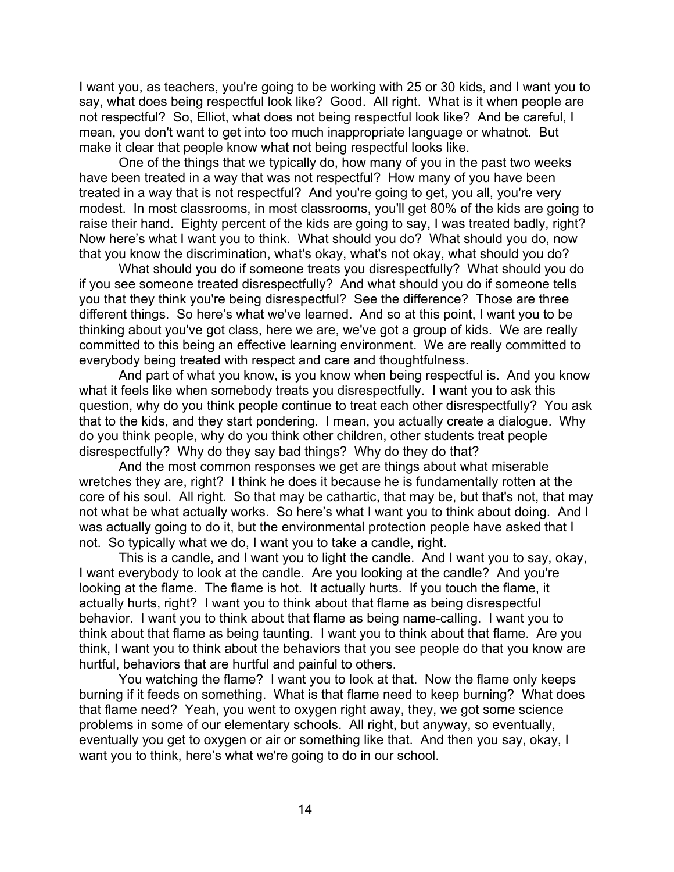I want you, as teachers, you're going to be working with 25 or 30 kids, and I want you to say, what does being respectful look like? Good. All right. What is it when people are not respectful? So, Elliot, what does not being respectful look like? And be careful, I mean, you don't want to get into too much inappropriate language or whatnot. But make it clear that people know what not being respectful looks like.

One of the things that we typically do, how many of you in the past two weeks have been treated in a way that was not respectful? How many of you have been treated in a way that is not respectful? And you're going to get, you all, you're very modest. In most classrooms, in most classrooms, you'll get 80% of the kids are going to raise their hand. Eighty percent of the kids are going to say, I was treated badly, right? Now here's what I want you to think. What should you do? What should you do, now that you know the discrimination, what's okay, what's not okay, what should you do?

What should you do if someone treats you disrespectfully? What should you do if you see someone treated disrespectfully? And what should you do if someone tells you that they think you're being disrespectful? See the difference? Those are three different things. So here's what we've learned. And so at this point, I want you to be thinking about you've got class, here we are, we've got a group of kids. We are really committed to this being an effective learning environment. We are really committed to everybody being treated with respect and care and thoughtfulness.

And part of what you know, is you know when being respectful is. And you know what it feels like when somebody treats you disrespectfully. I want you to ask this question, why do you think people continue to treat each other disrespectfully? You ask that to the kids, and they start pondering. I mean, you actually create a dialogue. Why do you think people, why do you think other children, other students treat people disrespectfully? Why do they say bad things? Why do they do that?

And the most common responses we get are things about what miserable wretches they are, right? I think he does it because he is fundamentally rotten at the core of his soul. All right. So that may be cathartic, that may be, but that's not, that may not what be what actually works. So here's what I want you to think about doing. And I was actually going to do it, but the environmental protection people have asked that I not. So typically what we do, I want you to take a candle, right.

This is a candle, and I want you to light the candle. And I want you to say, okay, I want everybody to look at the candle. Are you looking at the candle? And you're looking at the flame. The flame is hot. It actually hurts. If you touch the flame, it actually hurts, right? I want you to think about that flame as being disrespectful behavior. I want you to think about that flame as being name-calling. I want you to think about that flame as being taunting. I want you to think about that flame. Are you think, I want you to think about the behaviors that you see people do that you know are hurtful, behaviors that are hurtful and painful to others.

You watching the flame? I want you to look at that. Now the flame only keeps burning if it feeds on something. What is that flame need to keep burning? What does that flame need? Yeah, you went to oxygen right away, they, we got some science problems in some of our elementary schools. All right, but anyway, so eventually, eventually you get to oxygen or air or something like that. And then you say, okay, I want you to think, here's what we're going to do in our school.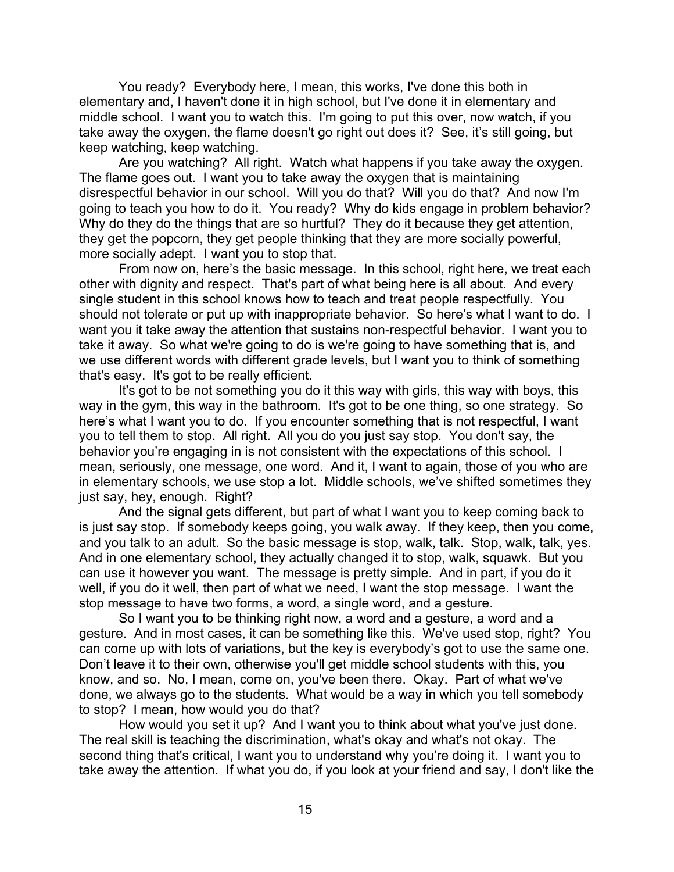You ready? Everybody here, I mean, this works, I've done this both in elementary and, I haven't done it in high school, but I've done it in elementary and middle school. I want you to watch this. I'm going to put this over, now watch, if you take away the oxygen, the flame doesn't go right out does it? See, it's still going, but keep watching, keep watching.

Are you watching? All right. Watch what happens if you take away the oxygen. The flame goes out. I want you to take away the oxygen that is maintaining disrespectful behavior in our school. Will you do that? Will you do that? And now I'm going to teach you how to do it. You ready? Why do kids engage in problem behavior? Why do they do the things that are so hurtful? They do it because they get attention, they get the popcorn, they get people thinking that they are more socially powerful, more socially adept. I want you to stop that.

From now on, here's the basic message. In this school, right here, we treat each other with dignity and respect. That's part of what being here is all about. And every single student in this school knows how to teach and treat people respectfully. You should not tolerate or put up with inappropriate behavior. So here's what I want to do. I want you it take away the attention that sustains non-respectful behavior. I want you to take it away. So what we're going to do is we're going to have something that is, and we use different words with different grade levels, but I want you to think of something that's easy. It's got to be really efficient.

It's got to be not something you do it this way with girls, this way with boys, this way in the gym, this way in the bathroom. It's got to be one thing, so one strategy. So here's what I want you to do. If you encounter something that is not respectful, I want you to tell them to stop. All right. All you do you just say stop. You don't say, the behavior you're engaging in is not consistent with the expectations of this school. I mean, seriously, one message, one word. And it, I want to again, those of you who are in elementary schools, we use stop a lot. Middle schools, we've shifted sometimes they just say, hey, enough. Right?

And the signal gets different, but part of what I want you to keep coming back to is just say stop. If somebody keeps going, you walk away. If they keep, then you come, and you talk to an adult. So the basic message is stop, walk, talk. Stop, walk, talk, yes. And in one elementary school, they actually changed it to stop, walk, squawk. But you can use it however you want. The message is pretty simple. And in part, if you do it well, if you do it well, then part of what we need, I want the stop message. I want the stop message to have two forms, a word, a single word, and a gesture.

So I want you to be thinking right now, a word and a gesture, a word and a gesture. And in most cases, it can be something like this. We've used stop, right? You can come up with lots of variations, but the key is everybody's got to use the same one. Don't leave it to their own, otherwise you'll get middle school students with this, you know, and so. No, I mean, come on, you've been there. Okay. Part of what we've done, we always go to the students. What would be a way in which you tell somebody to stop? I mean, how would you do that?

How would you set it up? And I want you to think about what you've just done. The real skill is teaching the discrimination, what's okay and what's not okay. The second thing that's critical, I want you to understand why you're doing it. I want you to take away the attention. If what you do, if you look at your friend and say, I don't like the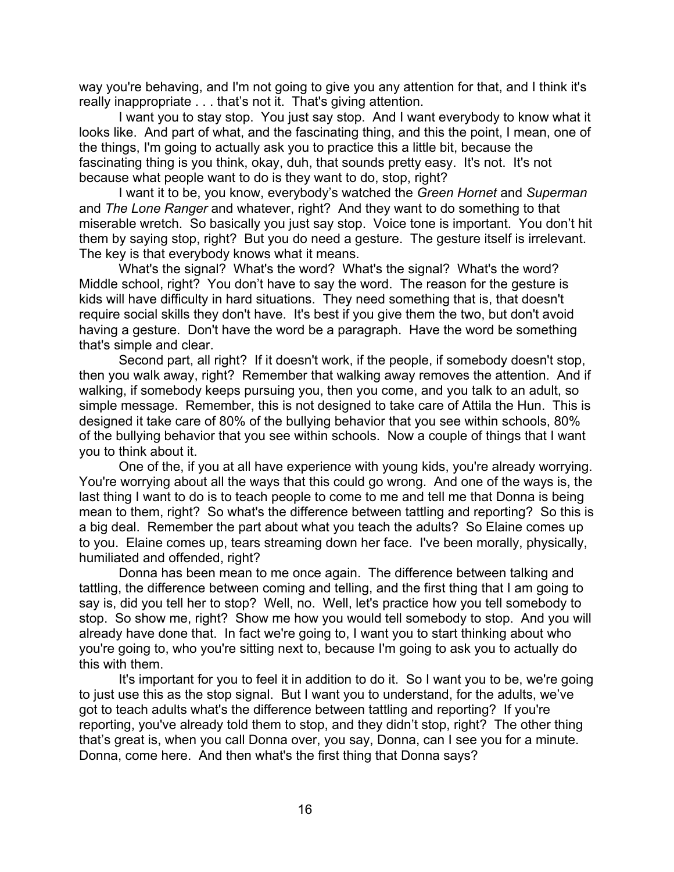way you're behaving, and I'm not going to give you any attention for that, and I think it's really inappropriate . . . that's not it. That's giving attention.

I want you to stay stop. You just say stop. And I want everybody to know what it looks like. And part of what, and the fascinating thing, and this the point, I mean, one of the things, I'm going to actually ask you to practice this a little bit, because the fascinating thing is you think, okay, duh, that sounds pretty easy. It's not. It's not because what people want to do is they want to do, stop, right?

I want it to be, you know, everybody's watched the *Green Hornet* and *Superman* and *The Lone Ranger* and whatever, right? And they want to do something to that miserable wretch. So basically you just say stop. Voice tone is important. You don't hit them by saying stop, right? But you do need a gesture. The gesture itself is irrelevant. The key is that everybody knows what it means.

What's the signal? What's the word? What's the signal? What's the word? Middle school, right? You don't have to say the word. The reason for the gesture is kids will have difficulty in hard situations. They need something that is, that doesn't require social skills they don't have. It's best if you give them the two, but don't avoid having a gesture. Don't have the word be a paragraph. Have the word be something that's simple and clear.

Second part, all right? If it doesn't work, if the people, if somebody doesn't stop, then you walk away, right? Remember that walking away removes the attention. And if walking, if somebody keeps pursuing you, then you come, and you talk to an adult, so simple message. Remember, this is not designed to take care of Attila the Hun. This is designed it take care of 80% of the bullying behavior that you see within schools, 80% of the bullying behavior that you see within schools. Now a couple of things that I want you to think about it.

One of the, if you at all have experience with young kids, you're already worrying. You're worrying about all the ways that this could go wrong. And one of the ways is, the last thing I want to do is to teach people to come to me and tell me that Donna is being mean to them, right? So what's the difference between tattling and reporting? So this is a big deal. Remember the part about what you teach the adults? So Elaine comes up to you. Elaine comes up, tears streaming down her face. I've been morally, physically, humiliated and offended, right?

Donna has been mean to me once again. The difference between talking and tattling, the difference between coming and telling, and the first thing that I am going to say is, did you tell her to stop? Well, no. Well, let's practice how you tell somebody to stop. So show me, right? Show me how you would tell somebody to stop. And you will already have done that. In fact we're going to, I want you to start thinking about who you're going to, who you're sitting next to, because I'm going to ask you to actually do this with them.

It's important for you to feel it in addition to do it. So I want you to be, we're going to just use this as the stop signal. But I want you to understand, for the adults, we've got to teach adults what's the difference between tattling and reporting? If you're reporting, you've already told them to stop, and they didn't stop, right? The other thing that's great is, when you call Donna over, you say, Donna, can I see you for a minute. Donna, come here. And then what's the first thing that Donna says?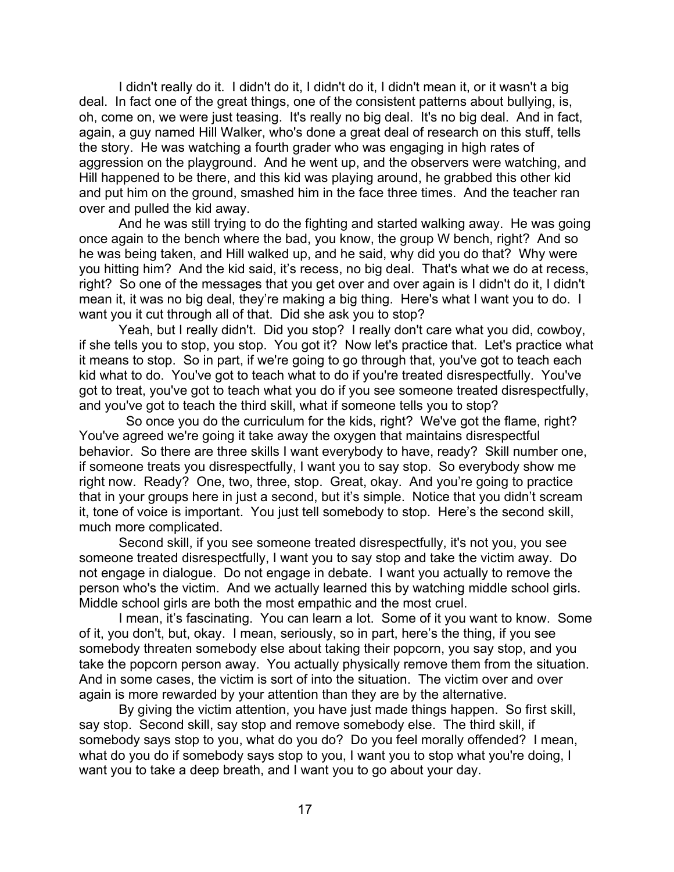I didn't really do it. I didn't do it, I didn't do it, I didn't mean it, or it wasn't a big deal. In fact one of the great things, one of the consistent patterns about bullying, is, oh, come on, we were just teasing. It's really no big deal. It's no big deal. And in fact, again, a guy named Hill Walker, who's done a great deal of research on this stuff, tells the story. He was watching a fourth grader who was engaging in high rates of aggression on the playground. And he went up, and the observers were watching, and Hill happened to be there, and this kid was playing around, he grabbed this other kid and put him on the ground, smashed him in the face three times. And the teacher ran over and pulled the kid away.

And he was still trying to do the fighting and started walking away. He was going once again to the bench where the bad, you know, the group W bench, right? And so he was being taken, and Hill walked up, and he said, why did you do that? Why were you hitting him? And the kid said, it's recess, no big deal. That's what we do at recess, right? So one of the messages that you get over and over again is I didn't do it, I didn't mean it, it was no big deal, they're making a big thing. Here's what I want you to do. I want you it cut through all of that. Did she ask you to stop?

Yeah, but I really didn't. Did you stop? I really don't care what you did, cowboy, if she tells you to stop, you stop. You got it? Now let's practice that. Let's practice what it means to stop. So in part, if we're going to go through that, you've got to teach each kid what to do. You've got to teach what to do if you're treated disrespectfully. You've got to treat, you've got to teach what you do if you see someone treated disrespectfully, and you've got to teach the third skill, what if someone tells you to stop?

 So once you do the curriculum for the kids, right? We've got the flame, right? You've agreed we're going it take away the oxygen that maintains disrespectful behavior. So there are three skills I want everybody to have, ready? Skill number one, if someone treats you disrespectfully, I want you to say stop. So everybody show me right now. Ready? One, two, three, stop. Great, okay. And you're going to practice that in your groups here in just a second, but it's simple. Notice that you didn't scream it, tone of voice is important. You just tell somebody to stop. Here's the second skill, much more complicated.

Second skill, if you see someone treated disrespectfully, it's not you, you see someone treated disrespectfully, I want you to say stop and take the victim away. Do not engage in dialogue. Do not engage in debate. I want you actually to remove the person who's the victim. And we actually learned this by watching middle school girls. Middle school girls are both the most empathic and the most cruel.

I mean, it's fascinating. You can learn a lot. Some of it you want to know. Some of it, you don't, but, okay. I mean, seriously, so in part, here's the thing, if you see somebody threaten somebody else about taking their popcorn, you say stop, and you take the popcorn person away. You actually physically remove them from the situation. And in some cases, the victim is sort of into the situation. The victim over and over again is more rewarded by your attention than they are by the alternative.

By giving the victim attention, you have just made things happen. So first skill, say stop. Second skill, say stop and remove somebody else. The third skill, if somebody says stop to you, what do you do? Do you feel morally offended? I mean, what do you do if somebody says stop to you, I want you to stop what you're doing, I want you to take a deep breath, and I want you to go about your day.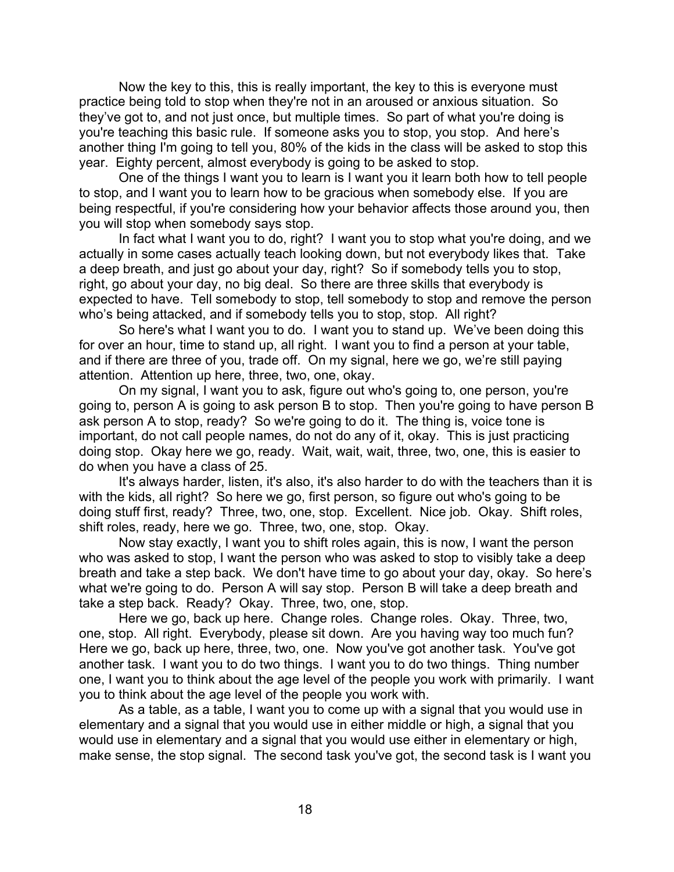Now the key to this, this is really important, the key to this is everyone must practice being told to stop when they're not in an aroused or anxious situation. So they've got to, and not just once, but multiple times. So part of what you're doing is you're teaching this basic rule. If someone asks you to stop, you stop. And here's another thing I'm going to tell you, 80% of the kids in the class will be asked to stop this year. Eighty percent, almost everybody is going to be asked to stop.

One of the things I want you to learn is I want you it learn both how to tell people to stop, and I want you to learn how to be gracious when somebody else. If you are being respectful, if you're considering how your behavior affects those around you, then you will stop when somebody says stop.

In fact what I want you to do, right? I want you to stop what you're doing, and we actually in some cases actually teach looking down, but not everybody likes that. Take a deep breath, and just go about your day, right? So if somebody tells you to stop, right, go about your day, no big deal. So there are three skills that everybody is expected to have. Tell somebody to stop, tell somebody to stop and remove the person who's being attacked, and if somebody tells you to stop, stop. All right?

So here's what I want you to do. I want you to stand up. We've been doing this for over an hour, time to stand up, all right. I want you to find a person at your table, and if there are three of you, trade off. On my signal, here we go, we're still paying attention. Attention up here, three, two, one, okay.

On my signal, I want you to ask, figure out who's going to, one person, you're going to, person A is going to ask person B to stop. Then you're going to have person B ask person A to stop, ready? So we're going to do it. The thing is, voice tone is important, do not call people names, do not do any of it, okay. This is just practicing doing stop. Okay here we go, ready. Wait, wait, wait, three, two, one, this is easier to do when you have a class of 25.

It's always harder, listen, it's also, it's also harder to do with the teachers than it is with the kids, all right? So here we go, first person, so figure out who's going to be doing stuff first, ready? Three, two, one, stop. Excellent. Nice job. Okay. Shift roles, shift roles, ready, here we go. Three, two, one, stop. Okay.

Now stay exactly, I want you to shift roles again, this is now, I want the person who was asked to stop, I want the person who was asked to stop to visibly take a deep breath and take a step back. We don't have time to go about your day, okay. So here's what we're going to do. Person A will say stop. Person B will take a deep breath and take a step back. Ready? Okay. Three, two, one, stop.

Here we go, back up here. Change roles. Change roles. Okay. Three, two, one, stop. All right. Everybody, please sit down. Are you having way too much fun? Here we go, back up here, three, two, one. Now you've got another task. You've got another task. I want you to do two things. I want you to do two things. Thing number one, I want you to think about the age level of the people you work with primarily. I want you to think about the age level of the people you work with.

As a table, as a table, I want you to come up with a signal that you would use in elementary and a signal that you would use in either middle or high, a signal that you would use in elementary and a signal that you would use either in elementary or high, make sense, the stop signal. The second task you've got, the second task is I want you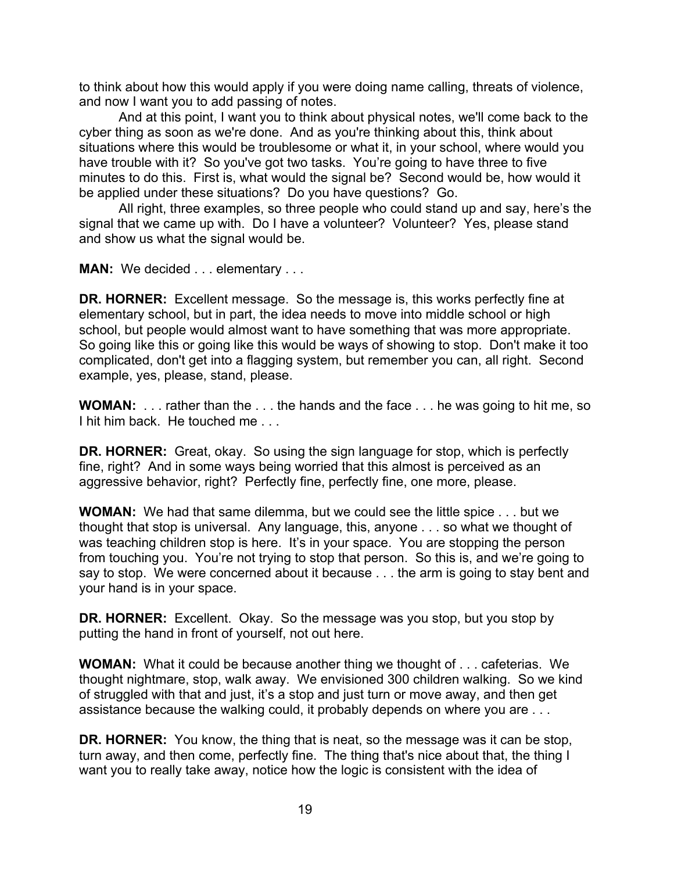to think about how this would apply if you were doing name calling, threats of violence, and now I want you to add passing of notes.

And at this point, I want you to think about physical notes, we'll come back to the cyber thing as soon as we're done. And as you're thinking about this, think about situations where this would be troublesome or what it, in your school, where would you have trouble with it? So you've got two tasks. You're going to have three to five minutes to do this. First is, what would the signal be? Second would be, how would it be applied under these situations? Do you have questions? Go.

All right, three examples, so three people who could stand up and say, here's the signal that we came up with. Do I have a volunteer? Volunteer? Yes, please stand and show us what the signal would be.

**MAN:** We decided . . . elementary . . .

**DR. HORNER:** Excellent message. So the message is, this works perfectly fine at elementary school, but in part, the idea needs to move into middle school or high school, but people would almost want to have something that was more appropriate. So going like this or going like this would be ways of showing to stop. Don't make it too complicated, don't get into a flagging system, but remember you can, all right. Second example, yes, please, stand, please.

**WOMAN:** . . . rather than the . . . the hands and the face . . . he was going to hit me, so I hit him back. He touched me . . .

**DR. HORNER:** Great, okay. So using the sign language for stop, which is perfectly fine, right? And in some ways being worried that this almost is perceived as an aggressive behavior, right? Perfectly fine, perfectly fine, one more, please.

**WOMAN:** We had that same dilemma, but we could see the little spice . . . but we thought that stop is universal. Any language, this, anyone . . . so what we thought of was teaching children stop is here. It's in your space. You are stopping the person from touching you. You're not trying to stop that person. So this is, and we're going to say to stop. We were concerned about it because . . . the arm is going to stay bent and your hand is in your space.

**DR. HORNER:** Excellent. Okay. So the message was you stop, but you stop by putting the hand in front of yourself, not out here.

**WOMAN:** What it could be because another thing we thought of . . . cafeterias. We thought nightmare, stop, walk away. We envisioned 300 children walking. So we kind of struggled with that and just, it's a stop and just turn or move away, and then get assistance because the walking could, it probably depends on where you are . . .

**DR. HORNER:** You know, the thing that is neat, so the message was it can be stop, turn away, and then come, perfectly fine. The thing that's nice about that, the thing I want you to really take away, notice how the logic is consistent with the idea of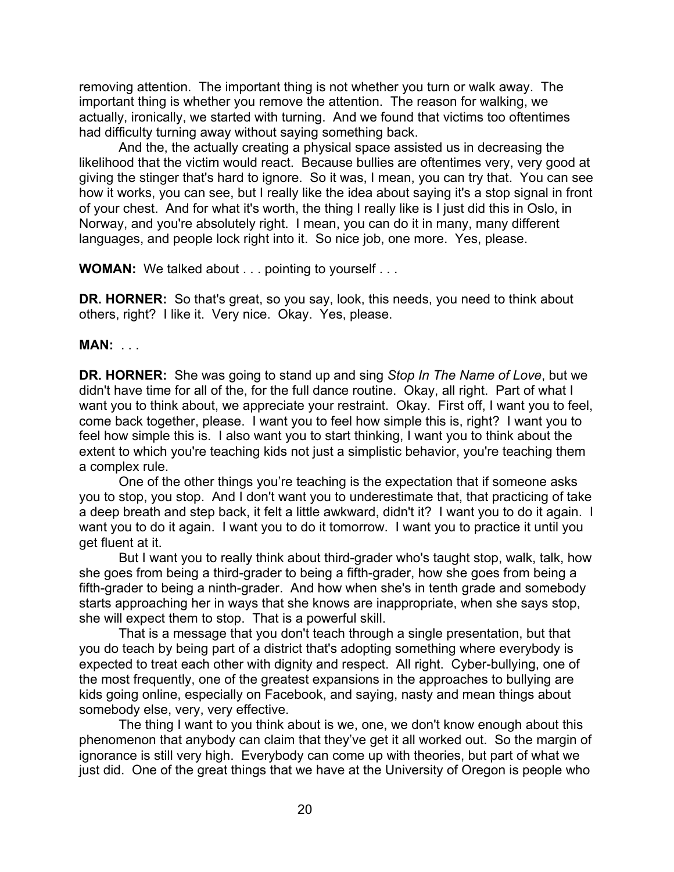removing attention. The important thing is not whether you turn or walk away. The important thing is whether you remove the attention. The reason for walking, we actually, ironically, we started with turning. And we found that victims too oftentimes had difficulty turning away without saying something back.

And the, the actually creating a physical space assisted us in decreasing the likelihood that the victim would react. Because bullies are oftentimes very, very good at giving the stinger that's hard to ignore. So it was, I mean, you can try that. You can see how it works, you can see, but I really like the idea about saying it's a stop signal in front of your chest. And for what it's worth, the thing I really like is I just did this in Oslo, in Norway, and you're absolutely right. I mean, you can do it in many, many different languages, and people lock right into it. So nice job, one more. Yes, please.

**WOMAN:** We talked about . . . pointing to yourself . . .

**DR. HORNER:** So that's great, so you say, look, this needs, you need to think about others, right? I like it. Very nice. Okay. Yes, please.

## **MAN:** . . .

**DR. HORNER:** She was going to stand up and sing *Stop In The Name of Love*, but we didn't have time for all of the, for the full dance routine. Okay, all right. Part of what I want you to think about, we appreciate your restraint. Okay. First off, I want you to feel, come back together, please. I want you to feel how simple this is, right? I want you to feel how simple this is. I also want you to start thinking, I want you to think about the extent to which you're teaching kids not just a simplistic behavior, you're teaching them a complex rule.

One of the other things you're teaching is the expectation that if someone asks you to stop, you stop. And I don't want you to underestimate that, that practicing of take a deep breath and step back, it felt a little awkward, didn't it? I want you to do it again. I want you to do it again. I want you to do it tomorrow. I want you to practice it until you get fluent at it.

But I want you to really think about third-grader who's taught stop, walk, talk, how she goes from being a third-grader to being a fifth-grader, how she goes from being a fifth-grader to being a ninth-grader. And how when she's in tenth grade and somebody starts approaching her in ways that she knows are inappropriate, when she says stop, she will expect them to stop. That is a powerful skill.

That is a message that you don't teach through a single presentation, but that you do teach by being part of a district that's adopting something where everybody is expected to treat each other with dignity and respect. All right. Cyber-bullying, one of the most frequently, one of the greatest expansions in the approaches to bullying are kids going online, especially on Facebook, and saying, nasty and mean things about somebody else, very, very effective.

The thing I want to you think about is we, one, we don't know enough about this phenomenon that anybody can claim that they've get it all worked out. So the margin of ignorance is still very high. Everybody can come up with theories, but part of what we just did. One of the great things that we have at the University of Oregon is people who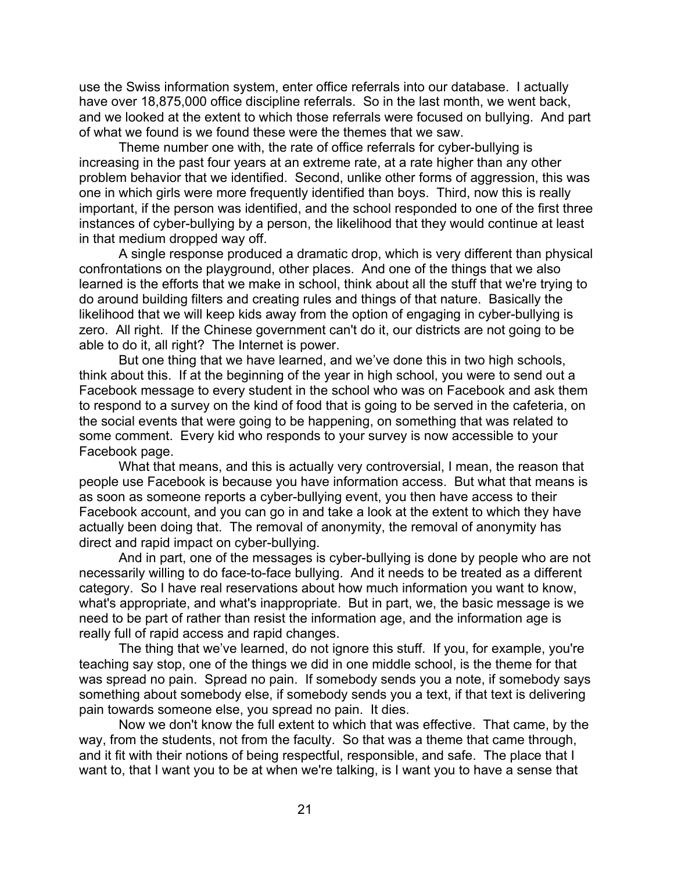use the Swiss information system, enter office referrals into our database. I actually have over 18,875,000 office discipline referrals. So in the last month, we went back, and we looked at the extent to which those referrals were focused on bullying. And part of what we found is we found these were the themes that we saw.

Theme number one with, the rate of office referrals for cyber-bullying is increasing in the past four years at an extreme rate, at a rate higher than any other problem behavior that we identified. Second, unlike other forms of aggression, this was one in which girls were more frequently identified than boys. Third, now this is really important, if the person was identified, and the school responded to one of the first three instances of cyber-bullying by a person, the likelihood that they would continue at least in that medium dropped way off.

A single response produced a dramatic drop, which is very different than physical confrontations on the playground, other places. And one of the things that we also learned is the efforts that we make in school, think about all the stuff that we're trying to do around building filters and creating rules and things of that nature. Basically the likelihood that we will keep kids away from the option of engaging in cyber-bullying is zero. All right. If the Chinese government can't do it, our districts are not going to be able to do it, all right? The Internet is power.

But one thing that we have learned, and we've done this in two high schools, think about this. If at the beginning of the year in high school, you were to send out a Facebook message to every student in the school who was on Facebook and ask them to respond to a survey on the kind of food that is going to be served in the cafeteria, on the social events that were going to be happening, on something that was related to some comment. Every kid who responds to your survey is now accessible to your Facebook page.

What that means, and this is actually very controversial, I mean, the reason that people use Facebook is because you have information access. But what that means is as soon as someone reports a cyber-bullying event, you then have access to their Facebook account, and you can go in and take a look at the extent to which they have actually been doing that. The removal of anonymity, the removal of anonymity has direct and rapid impact on cyber-bullying.

And in part, one of the messages is cyber-bullying is done by people who are not necessarily willing to do face-to-face bullying. And it needs to be treated as a different category. So I have real reservations about how much information you want to know, what's appropriate, and what's inappropriate. But in part, we, the basic message is we need to be part of rather than resist the information age, and the information age is really full of rapid access and rapid changes.

The thing that we've learned, do not ignore this stuff. If you, for example, you're teaching say stop, one of the things we did in one middle school, is the theme for that was spread no pain. Spread no pain. If somebody sends you a note, if somebody says something about somebody else, if somebody sends you a text, if that text is delivering pain towards someone else, you spread no pain. It dies.

Now we don't know the full extent to which that was effective. That came, by the way, from the students, not from the faculty. So that was a theme that came through, and it fit with their notions of being respectful, responsible, and safe. The place that I want to, that I want you to be at when we're talking, is I want you to have a sense that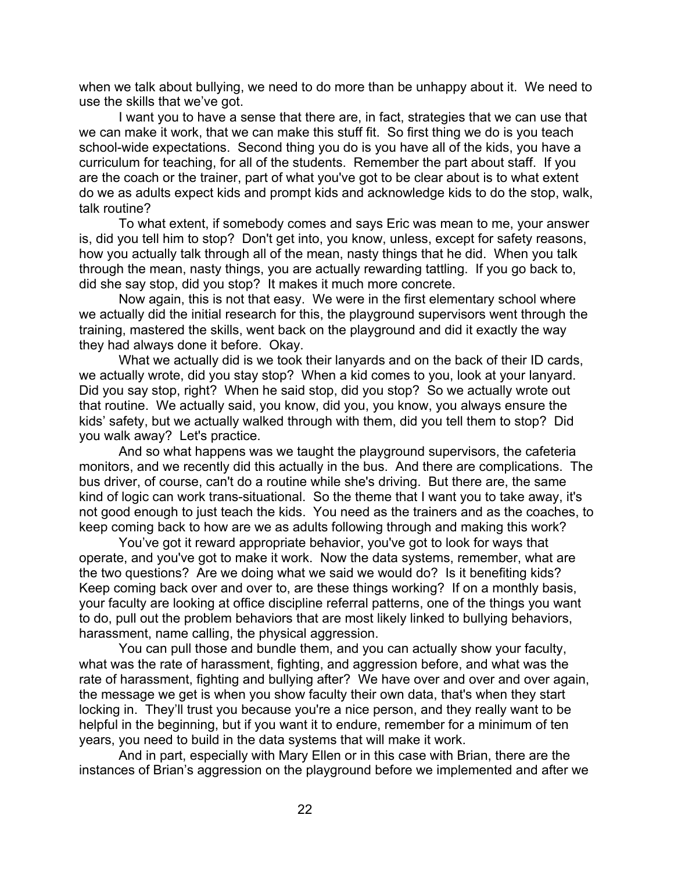when we talk about bullying, we need to do more than be unhappy about it. We need to use the skills that we've got.

I want you to have a sense that there are, in fact, strategies that we can use that we can make it work, that we can make this stuff fit. So first thing we do is you teach school-wide expectations. Second thing you do is you have all of the kids, you have a curriculum for teaching, for all of the students. Remember the part about staff. If you are the coach or the trainer, part of what you've got to be clear about is to what extent do we as adults expect kids and prompt kids and acknowledge kids to do the stop, walk, talk routine?

To what extent, if somebody comes and says Eric was mean to me, your answer is, did you tell him to stop? Don't get into, you know, unless, except for safety reasons, how you actually talk through all of the mean, nasty things that he did. When you talk through the mean, nasty things, you are actually rewarding tattling. If you go back to, did she say stop, did you stop? It makes it much more concrete.

Now again, this is not that easy. We were in the first elementary school where we actually did the initial research for this, the playground supervisors went through the training, mastered the skills, went back on the playground and did it exactly the way they had always done it before. Okay.

What we actually did is we took their lanyards and on the back of their ID cards, we actually wrote, did you stay stop? When a kid comes to you, look at your lanyard. Did you say stop, right? When he said stop, did you stop? So we actually wrote out that routine. We actually said, you know, did you, you know, you always ensure the kids' safety, but we actually walked through with them, did you tell them to stop? Did you walk away? Let's practice.

And so what happens was we taught the playground supervisors, the cafeteria monitors, and we recently did this actually in the bus. And there are complications. The bus driver, of course, can't do a routine while she's driving. But there are, the same kind of logic can work trans-situational. So the theme that I want you to take away, it's not good enough to just teach the kids. You need as the trainers and as the coaches, to keep coming back to how are we as adults following through and making this work?

You've got it reward appropriate behavior, you've got to look for ways that operate, and you've got to make it work. Now the data systems, remember, what are the two questions? Are we doing what we said we would do? Is it benefiting kids? Keep coming back over and over to, are these things working? If on a monthly basis, your faculty are looking at office discipline referral patterns, one of the things you want to do, pull out the problem behaviors that are most likely linked to bullying behaviors, harassment, name calling, the physical aggression.

You can pull those and bundle them, and you can actually show your faculty, what was the rate of harassment, fighting, and aggression before, and what was the rate of harassment, fighting and bullying after? We have over and over and over again, the message we get is when you show faculty their own data, that's when they start locking in. They'll trust you because you're a nice person, and they really want to be helpful in the beginning, but if you want it to endure, remember for a minimum of ten years, you need to build in the data systems that will make it work.

And in part, especially with Mary Ellen or in this case with Brian, there are the instances of Brian's aggression on the playground before we implemented and after we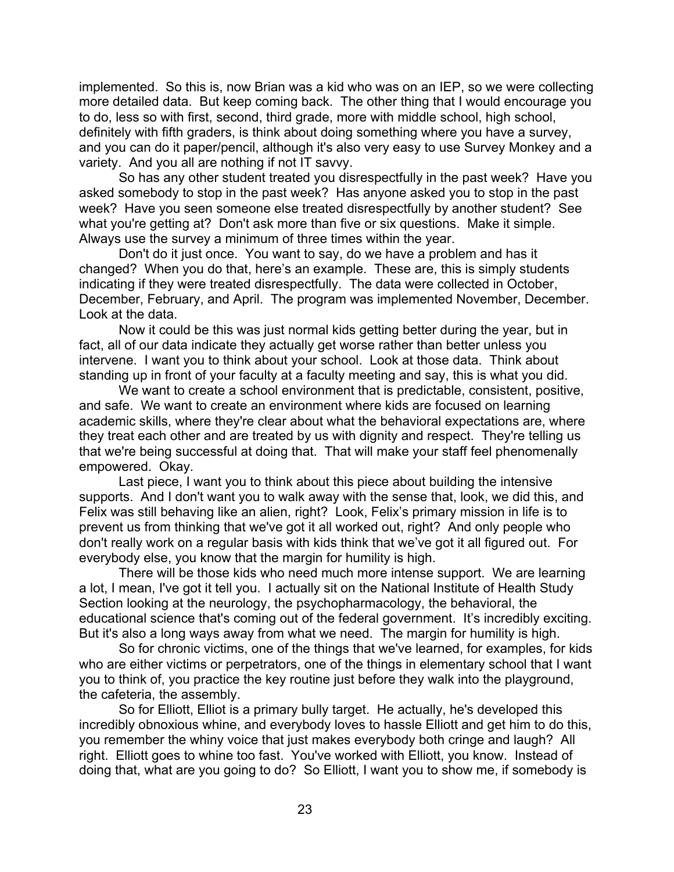implemented. So this is, now Brian was a kid who was on an IEP, so we were collecting more detailed data. But keep coming back. The other thing that I would encourage you to do, less so with first, second, third grade, more with middle school, high school, definitely with fifth graders, is think about doing something where you have a survey, and you can do it paper/pencil, although it's also very easy to use Survey Monkey and a variety. And you all are nothing if not IT savvy.

So has any other student treated you disrespectfully in the past week? Have you asked somebody to stop in the past week? Has anyone asked you to stop in the past week? Have you seen someone else treated disrespectfully by another student? See what you're getting at? Don't ask more than five or six questions. Make it simple. Always use the survey a minimum of three times within the year.

Don't do it just once. You want to say, do we have a problem and has it changed? When you do that, here's an example. These are, this is simply students indicating if they were treated disrespectfully. The data were collected in October, December, February, and April. The program was implemented November, December. Look at the data.

Now it could be this was just normal kids getting better during the year, but in fact, all of our data indicate they actually get worse rather than better unless you intervene. I want you to think about your school. Look at those data. Think about standing up in front of your faculty at a faculty meeting and say, this is what you did.

We want to create a school environment that is predictable, consistent, positive, and safe. We want to create an environment where kids are focused on learning academic skills, where they're clear about what the behavioral expectations are, where they treat each other and are treated by us with dignity and respect. They're telling us that we're being successful at doing that. That will make your staff feel phenomenally empowered. Okay.

Last piece, I want you to think about this piece about building the intensive supports. And I don't want you to walk away with the sense that, look, we did this, and Felix was still behaving like an alien, right? Look, Felix's primary mission in life is to prevent us from thinking that we've got it all worked out, right? And only people who don't really work on a regular basis with kids think that we've got it all figured out. For everybody else, you know that the margin for humility is high.

There will be those kids who need much more intense support. We are learning a lot, I mean, I've got it tell you. I actually sit on the National Institute of Health Study Section looking at the neurology, the psychopharmacology, the behavioral, the educational science that's coming out of the federal government. It's incredibly exciting. But it's also a long ways away from what we need. The margin for humility is high.

So for chronic victims, one of the things that we've learned, for examples, for kids who are either victims or perpetrators, one of the things in elementary school that I want you to think of, you practice the key routine just before they walk into the playground, the cafeteria, the assembly.

So for Elliott, Elliot is a primary bully target. He actually, he's developed this incredibly obnoxious whine, and everybody loves to hassle Elliott and get him to do this, you remember the whiny voice that just makes everybody both cringe and laugh? All right. Elliott goes to whine too fast. You've worked with Elliott, you know. Instead of doing that, what are you going to do? So Elliott, I want you to show me, if somebody is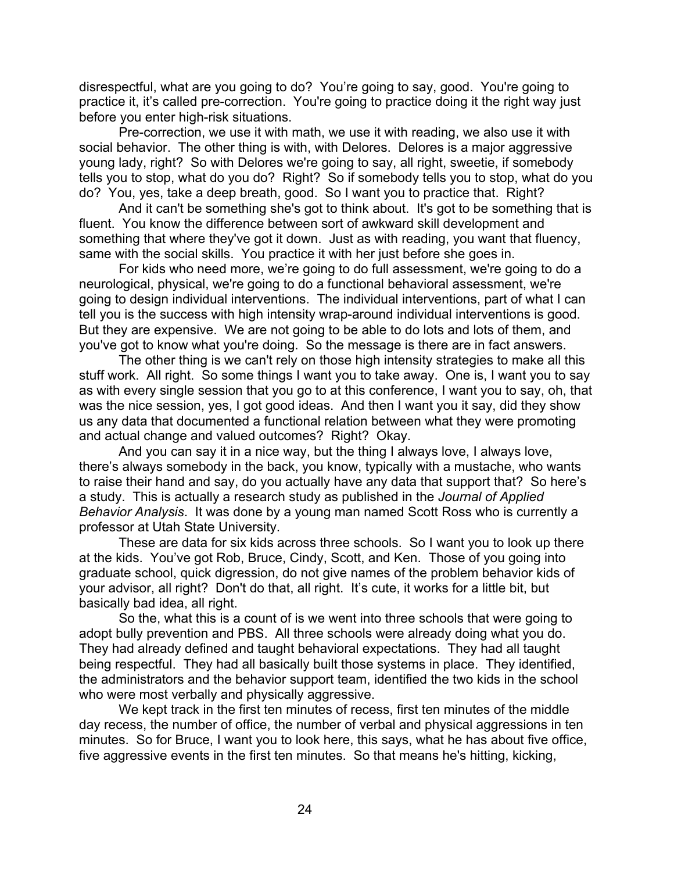disrespectful, what are you going to do? You're going to say, good. You're going to practice it, it's called pre-correction. You're going to practice doing it the right way just before you enter high-risk situations.

Pre-correction, we use it with math, we use it with reading, we also use it with social behavior. The other thing is with, with Delores. Delores is a major aggressive young lady, right? So with Delores we're going to say, all right, sweetie, if somebody tells you to stop, what do you do? Right? So if somebody tells you to stop, what do you do? You, yes, take a deep breath, good. So I want you to practice that. Right?

And it can't be something she's got to think about. It's got to be something that is fluent. You know the difference between sort of awkward skill development and something that where they've got it down. Just as with reading, you want that fluency, same with the social skills. You practice it with her just before she goes in.

For kids who need more, we're going to do full assessment, we're going to do a neurological, physical, we're going to do a functional behavioral assessment, we're going to design individual interventions. The individual interventions, part of what I can tell you is the success with high intensity wrap-around individual interventions is good. But they are expensive. We are not going to be able to do lots and lots of them, and you've got to know what you're doing. So the message is there are in fact answers.

The other thing is we can't rely on those high intensity strategies to make all this stuff work. All right. So some things I want you to take away. One is, I want you to say as with every single session that you go to at this conference, I want you to say, oh, that was the nice session, yes, I got good ideas. And then I want you it say, did they show us any data that documented a functional relation between what they were promoting and actual change and valued outcomes? Right? Okay.

And you can say it in a nice way, but the thing I always love, I always love, there's always somebody in the back, you know, typically with a mustache, who wants to raise their hand and say, do you actually have any data that support that? So here's a study. This is actually a research study as published in the *Journal of Applied Behavior Analysis*. It was done by a young man named Scott Ross who is currently a professor at Utah State University.

These are data for six kids across three schools. So I want you to look up there at the kids. You've got Rob, Bruce, Cindy, Scott, and Ken. Those of you going into graduate school, quick digression, do not give names of the problem behavior kids of your advisor, all right? Don't do that, all right. It's cute, it works for a little bit, but basically bad idea, all right.

So the, what this is a count of is we went into three schools that were going to adopt bully prevention and PBS. All three schools were already doing what you do. They had already defined and taught behavioral expectations. They had all taught being respectful. They had all basically built those systems in place. They identified, the administrators and the behavior support team, identified the two kids in the school who were most verbally and physically aggressive.

We kept track in the first ten minutes of recess, first ten minutes of the middle day recess, the number of office, the number of verbal and physical aggressions in ten minutes. So for Bruce, I want you to look here, this says, what he has about five office, five aggressive events in the first ten minutes. So that means he's hitting, kicking,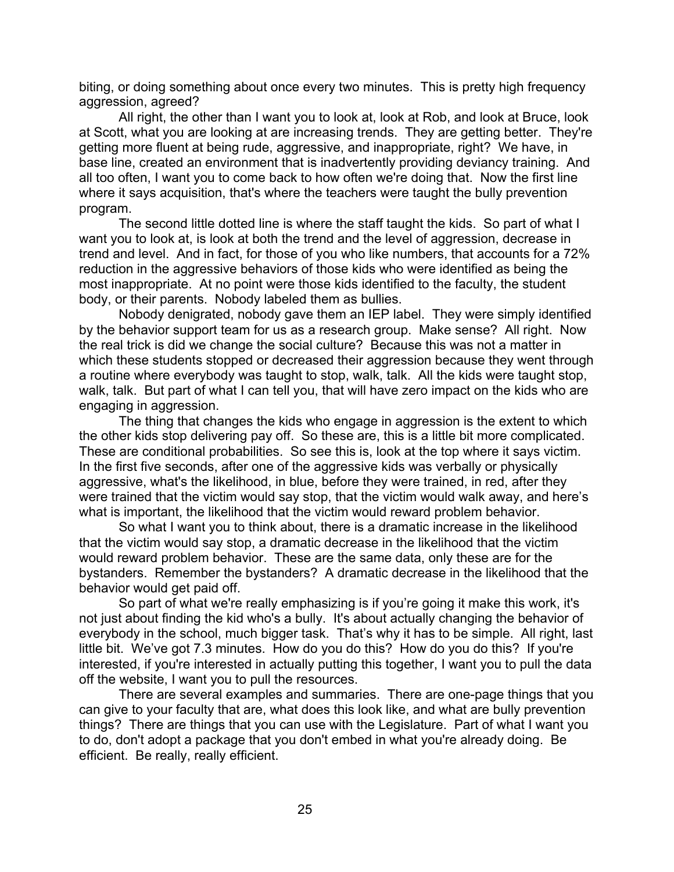biting, or doing something about once every two minutes. This is pretty high frequency aggression, agreed?

All right, the other than I want you to look at, look at Rob, and look at Bruce, look at Scott, what you are looking at are increasing trends. They are getting better. They're getting more fluent at being rude, aggressive, and inappropriate, right? We have, in base line, created an environment that is inadvertently providing deviancy training. And all too often, I want you to come back to how often we're doing that. Now the first line where it says acquisition, that's where the teachers were taught the bully prevention program.

The second little dotted line is where the staff taught the kids. So part of what I want you to look at, is look at both the trend and the level of aggression, decrease in trend and level. And in fact, for those of you who like numbers, that accounts for a 72% reduction in the aggressive behaviors of those kids who were identified as being the most inappropriate. At no point were those kids identified to the faculty, the student body, or their parents. Nobody labeled them as bullies.

Nobody denigrated, nobody gave them an IEP label. They were simply identified by the behavior support team for us as a research group. Make sense? All right. Now the real trick is did we change the social culture? Because this was not a matter in which these students stopped or decreased their aggression because they went through a routine where everybody was taught to stop, walk, talk. All the kids were taught stop, walk, talk. But part of what I can tell you, that will have zero impact on the kids who are engaging in aggression.

The thing that changes the kids who engage in aggression is the extent to which the other kids stop delivering pay off. So these are, this is a little bit more complicated. These are conditional probabilities. So see this is, look at the top where it says victim. In the first five seconds, after one of the aggressive kids was verbally or physically aggressive, what's the likelihood, in blue, before they were trained, in red, after they were trained that the victim would say stop, that the victim would walk away, and here's what is important, the likelihood that the victim would reward problem behavior.

So what I want you to think about, there is a dramatic increase in the likelihood that the victim would say stop, a dramatic decrease in the likelihood that the victim would reward problem behavior. These are the same data, only these are for the bystanders. Remember the bystanders? A dramatic decrease in the likelihood that the behavior would get paid off.

So part of what we're really emphasizing is if you're going it make this work, it's not just about finding the kid who's a bully. It's about actually changing the behavior of everybody in the school, much bigger task. That's why it has to be simple. All right, last little bit. We've got 7.3 minutes. How do you do this? How do you do this? If you're interested, if you're interested in actually putting this together, I want you to pull the data off the website, I want you to pull the resources.

There are several examples and summaries. There are one-page things that you can give to your faculty that are, what does this look like, and what are bully prevention things? There are things that you can use with the Legislature. Part of what I want you to do, don't adopt a package that you don't embed in what you're already doing. Be efficient. Be really, really efficient.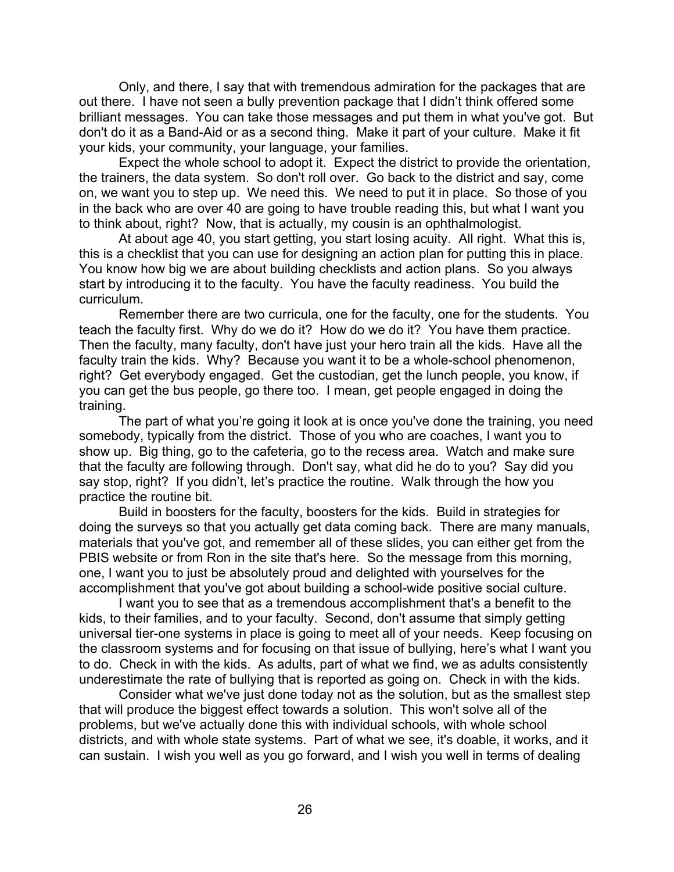Only, and there, I say that with tremendous admiration for the packages that are out there. I have not seen a bully prevention package that I didn't think offered some brilliant messages. You can take those messages and put them in what you've got. But don't do it as a Band-Aid or as a second thing. Make it part of your culture. Make it fit your kids, your community, your language, your families.

Expect the whole school to adopt it. Expect the district to provide the orientation, the trainers, the data system. So don't roll over. Go back to the district and say, come on, we want you to step up. We need this. We need to put it in place. So those of you in the back who are over 40 are going to have trouble reading this, but what I want you to think about, right? Now, that is actually, my cousin is an ophthalmologist.

At about age 40, you start getting, you start losing acuity. All right. What this is, this is a checklist that you can use for designing an action plan for putting this in place. You know how big we are about building checklists and action plans. So you always start by introducing it to the faculty. You have the faculty readiness. You build the curriculum.

Remember there are two curricula, one for the faculty, one for the students. You teach the faculty first. Why do we do it? How do we do it? You have them practice. Then the faculty, many faculty, don't have just your hero train all the kids. Have all the faculty train the kids. Why? Because you want it to be a whole-school phenomenon, right? Get everybody engaged. Get the custodian, get the lunch people, you know, if you can get the bus people, go there too. I mean, get people engaged in doing the training.

The part of what you're going it look at is once you've done the training, you need somebody, typically from the district. Those of you who are coaches, I want you to show up. Big thing, go to the cafeteria, go to the recess area. Watch and make sure that the faculty are following through. Don't say, what did he do to you? Say did you say stop, right? If you didn't, let's practice the routine. Walk through the how you practice the routine bit.

Build in boosters for the faculty, boosters for the kids. Build in strategies for doing the surveys so that you actually get data coming back. There are many manuals, materials that you've got, and remember all of these slides, you can either get from the PBIS website or from Ron in the site that's here. So the message from this morning, one, I want you to just be absolutely proud and delighted with yourselves for the accomplishment that you've got about building a school-wide positive social culture.

I want you to see that as a tremendous accomplishment that's a benefit to the kids, to their families, and to your faculty. Second, don't assume that simply getting universal tier-one systems in place is going to meet all of your needs. Keep focusing on the classroom systems and for focusing on that issue of bullying, here's what I want you to do. Check in with the kids. As adults, part of what we find, we as adults consistently underestimate the rate of bullying that is reported as going on. Check in with the kids.

Consider what we've just done today not as the solution, but as the smallest step that will produce the biggest effect towards a solution. This won't solve all of the problems, but we've actually done this with individual schools, with whole school districts, and with whole state systems. Part of what we see, it's doable, it works, and it can sustain. I wish you well as you go forward, and I wish you well in terms of dealing